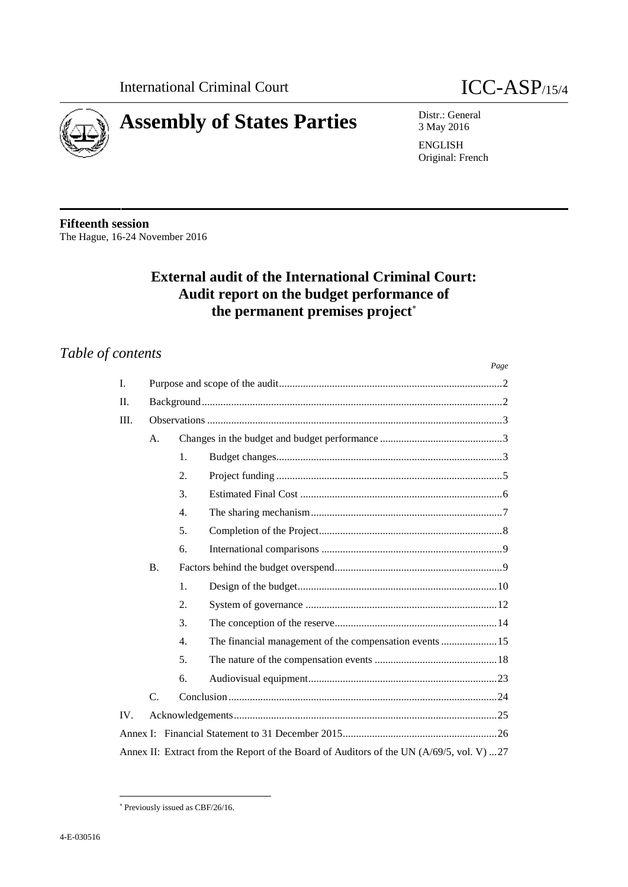



3 May 2016

ENGLISH Original: French

**Fifteenth session** The Hague, 16-24 November 2016

# **External audit of the International Criminal Court: Audit report on the budget performance of the permanent premises project**

# *Table of contents*

|      |                 |    |                                                                                          | Page |  |  |  |  |  |  |
|------|-----------------|----|------------------------------------------------------------------------------------------|------|--|--|--|--|--|--|
| I.   |                 |    |                                                                                          |      |  |  |  |  |  |  |
| II.  |                 |    |                                                                                          |      |  |  |  |  |  |  |
| III. |                 |    |                                                                                          |      |  |  |  |  |  |  |
|      | A.              |    |                                                                                          |      |  |  |  |  |  |  |
|      |                 | 1. |                                                                                          |      |  |  |  |  |  |  |
|      |                 | 2. |                                                                                          |      |  |  |  |  |  |  |
|      |                 | 3. |                                                                                          |      |  |  |  |  |  |  |
|      |                 | 4. |                                                                                          |      |  |  |  |  |  |  |
|      |                 | 5. |                                                                                          |      |  |  |  |  |  |  |
|      |                 | 6. |                                                                                          |      |  |  |  |  |  |  |
|      | $\mathbf{B}$ .  |    |                                                                                          |      |  |  |  |  |  |  |
|      |                 | 1. |                                                                                          |      |  |  |  |  |  |  |
|      |                 | 2. |                                                                                          |      |  |  |  |  |  |  |
|      |                 | 3. |                                                                                          |      |  |  |  |  |  |  |
|      |                 | 4. |                                                                                          |      |  |  |  |  |  |  |
|      |                 | 5. |                                                                                          |      |  |  |  |  |  |  |
|      |                 | 6. |                                                                                          |      |  |  |  |  |  |  |
|      | $\mathcal{C}$ . |    |                                                                                          |      |  |  |  |  |  |  |
| IV.  |                 |    |                                                                                          |      |  |  |  |  |  |  |
|      |                 |    |                                                                                          |      |  |  |  |  |  |  |
|      |                 |    | Annex II: Extract from the Report of the Board of Auditors of the UN (A/69/5, vol. V) 27 |      |  |  |  |  |  |  |

Previously issued as CBF/26/16.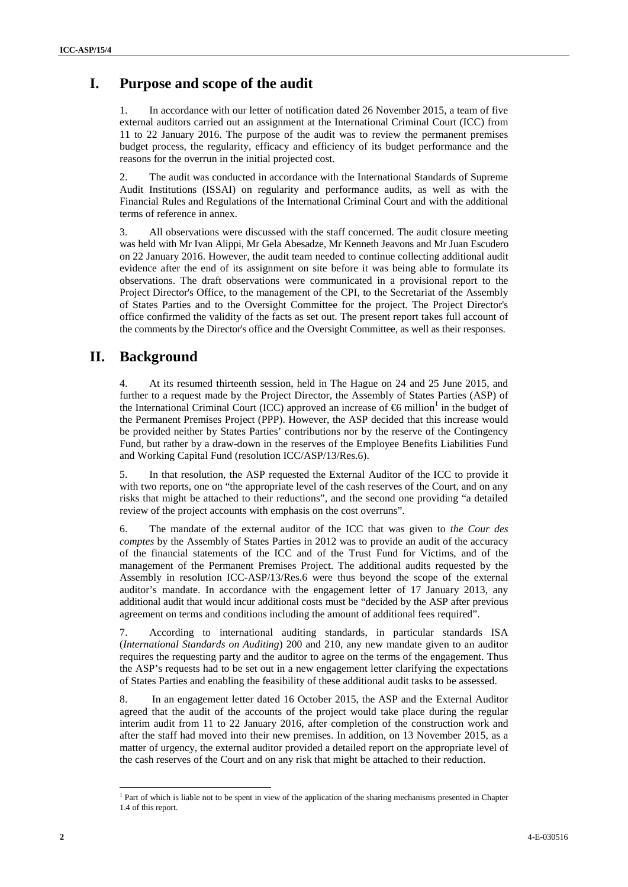## **I. Purpose and scope of the audit**

In accordance with our letter of notification dated 26 November 2015, a team of five external auditors carried out an assignment at the International Criminal Court (ICC) from 11 to 22 January 2016. The purpose of the audit was to review the permanent premises budget process, the regularity, efficacy and efficiency of its budget performance and the reasons for the overrun in the initial projected cost.

2. The audit was conducted in accordance with the International Standards of Supreme Audit Institutions (ISSAI) on regularity and performance audits, as well as with the Financial Rules and Regulations of the International Criminal Court and with the additional terms of reference in annex.

3. All observations were discussed with the staff concerned. The audit closure meeting was held with Mr Ivan Alippi, Mr Gela Abesadze, Mr Kenneth Jeavons and Mr Juan Escudero on 22 January 2016. However, the audit team needed to continue collecting additional audit evidence after the end of its assignment on site before it was being able to formulate its observations. The draft observations were communicated in a provisional report to the Project Director's Office, to the management of the CPI, to the Secretariat of the Assembly of States Parties and to the Oversight Committee for the project. The Project Director's office confirmed the validity of the facts as set out. The present report takes full account of the comments by the Director's office and the Oversight Committee, as well as their responses.

## **II. Background**

4. At its resumed thirteenth session, held in The Hague on 24 and 25 June 2015, and further to a request made by the Project Director, the Assembly of States Parties (ASP) of the International Criminal Court (ICC) approved an increase of  $\epsilon$  million<sup>1</sup> in the budget of the Permanent Premises Project (PPP). However, the ASP decided that this increase would be provided neither by States Parties' contributions nor by the reserve of the Contingency Fund, but rather by a draw-down in the reserves of the Employee Benefits Liabilities Fund and Working Capital Fund (resolution ICC/ASP/13/Res.6).

5. In that resolution, the ASP requested the External Auditor of the ICC to provide it with two reports, one on "the appropriate level of the cash reserves of the Court, and on any risks that might be attached to their reductions", and the second one providing "a detailed review of the project accounts with emphasis on the cost overruns".

6. The mandate of the external auditor of the ICC that was given to *the Cour des comptes* by the Assembly of States Parties in 2012 was to provide an audit of the accuracy of the financial statements of the ICC and of the Trust Fund for Victims, and of the management of the Permanent Premises Project. The additional audits requested by the Assembly in resolution ICC-ASP/13/Res.6 were thus beyond the scope of the external auditor's mandate. In accordance with the engagement letter of 17 January 2013, any additional audit that would incur additional costs must be "decided by the ASP after previous agreement on terms and conditions including the amount of additional fees required".

7. According to international auditing standards, in particular standards ISA (*International Standards on Auditing*) 200 and 210, any new mandate given to an auditor requires the requesting party and the auditor to agree on the terms of the engagement. Thus the ASP's requests had to be set out in a new engagement letter clarifying the expectations of States Parties and enabling the feasibility of these additional audit tasks to be assessed.

8. In an engagement letter dated 16 October 2015, the ASP and the External Auditor agreed that the audit of the accounts of the project would take place during the regular interim audit from 11 to 22 January 2016, after completion of the construction work and after the staff had moved into their new premises. In addition, on 13 November 2015, as a matter of urgency, the external auditor provided a detailed report on the appropriate level of the cash reserves of the Court and on any risk that might be attached to their reduction.

<sup>&</sup>lt;sup>1</sup> Part of which is liable not to be spent in view of the application of the sharing mechanisms presented in Chapter 1.4 of this report.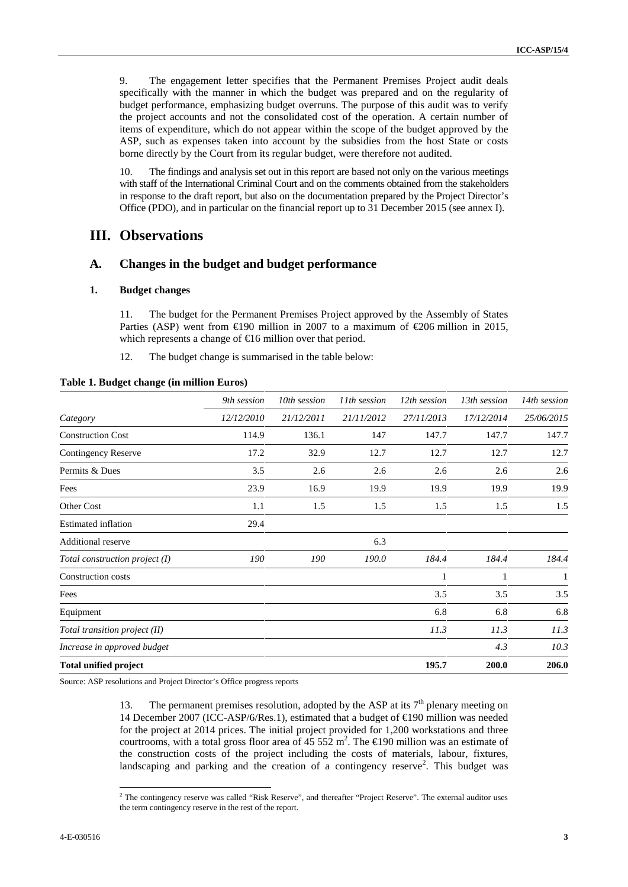9. The engagement letter specifies that the Permanent Premises Project audit deals specifically with the manner in which the budget was prepared and on the regularity of budget performance, emphasizing budget overruns. The purpose of this audit was to verify the project accounts and not the consolidated cost of the operation. A certain number of items of expenditure, which do not appear within the scope of the budget approved by the ASP, such as expenses taken into account by the subsidies from the host State or costs borne directly by the Court from its regular budget, were therefore not audited.

10. The findings and analysis set out in this report are based not only on the various meetings with staff of the International Criminal Court and on the comments obtained from the stakeholders in response to the draft report, but also on the documentation prepared by the Project Director's Office (PDO), and in particular on the financial report up to 31 December 2015 (see annex I).

## **III. Observations**

### **A. Changes in the budget and budget performance**

#### **1. Budget changes**

11. The budget for the Permanent Premises Project approved by the Assembly of States Parties (ASP) went from  $\text{\textsterling}90$  million in 2007 to a maximum of  $\text{\textsterling}06$  million in 2015, which represents a change of  $\in$  6 million over that period.

12. The budget change is summarised in the table below:

|                                | 9th session | 10th session | 11 <sup>th</sup> session | 12th session | 13th session | 14th session |
|--------------------------------|-------------|--------------|--------------------------|--------------|--------------|--------------|
| Category                       | 12/12/2010  | 21/12/2011   | 21/11/2012               | 27/11/2013   | 17/12/2014   | 25/06/2015   |
| <b>Construction Cost</b>       | 114.9       | 136.1        | 147                      | 147.7        | 147.7        | 147.7        |
| Contingency Reserve            | 17.2        | 32.9         | 12.7                     | 12.7         | 12.7         | 12.7         |
| Permits & Dues                 | 3.5         | 2.6          | 2.6                      | 2.6          | 2.6          | 2.6          |
| Fees                           | 23.9        | 16.9         | 19.9                     | 19.9         | 19.9         | 19.9         |
| Other Cost                     | 1.1         | 1.5          | 1.5                      | 1.5          | 1.5          | 1.5          |
| <b>Estimated inflation</b>     | 29.4        |              |                          |              |              |              |
| <b>Additional reserve</b>      |             |              | 6.3                      |              |              |              |
| Total construction project (I) | 190         | 190          | 190.0                    | 184.4        | 184.4        | 184.4        |
| Construction costs             |             |              |                          | 1            | 1            | 1            |
| Fees                           |             |              |                          | 3.5          | 3.5          | 3.5          |
| Equipment                      |             |              |                          | 6.8          | 6.8          | 6.8          |
| Total transition project (II)  |             |              |                          | 11.3         | 11.3         | 11.3         |
| Increase in approved budget    |             |              |                          |              | 4.3          | 10.3         |
| <b>Total unified project</b>   |             |              |                          | 195.7        | 200.0        | 206.0        |

#### **Table 1. Budget change (in million Euros)**

Source: ASP resolutions and Project Director's Office progress reports

13. The permanent premises resolution, adopted by the ASP at its  $7<sup>th</sup>$  plenary meeting on 14 December 2007 (ICC-ASP/6/Res.1), estimated that a budget of €190 million was needed for the project at 2014 prices. The initial project provided for 1,200 workstations and three courtrooms, with a total gross floor area of  $45,552 \text{ m}^2$ . The  $\epsilon$ 190 million was an estimate of the construction costs of the project including the costs of materials, labour, fixtures, landscaping and parking and the creation of a contingency reserve<sup>2</sup>. This budget was

<sup>&</sup>lt;sup>2</sup> The contingency reserve was called "Risk Reserve", and thereafter "Project Reserve". The external auditor uses the term contingency reserve in the rest of the report.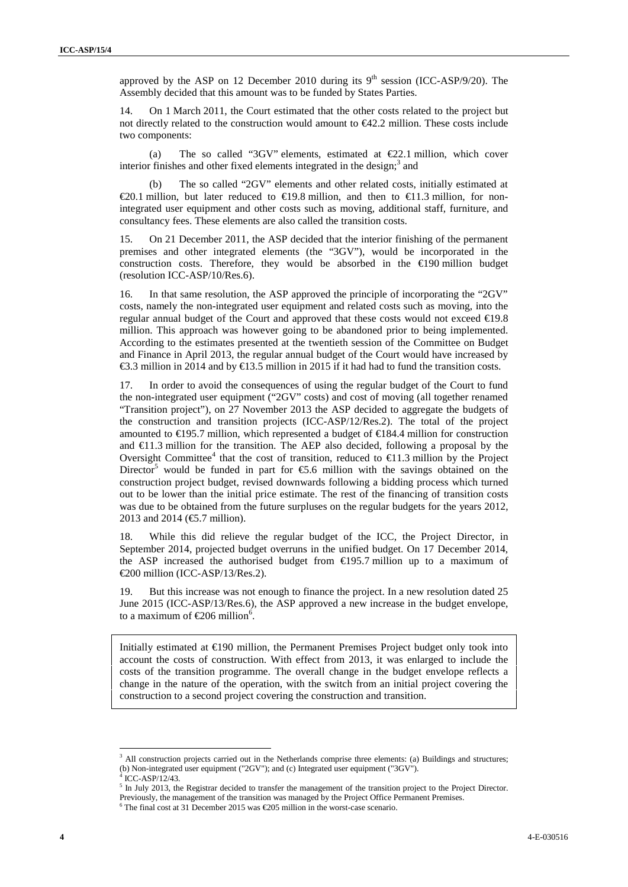approved by the ASP on 12 December 2010 during its  $9<sup>th</sup>$  session (ICC-ASP/9/20). The Assembly decided that this amount was to be funded by States Parties.

14. On 1 March 2011, the Court estimated that the other costs related to the project but not directly related to the construction would amount to €42.2 million. These costs include two components:

(a) The so called "3GV" elements, estimated at  $\epsilon$ 2.1 million, which cover interior finishes and other fixed elements integrated in the design; $3$  and

(b) The so called "2GV" elements and other related costs, initially estimated at €20.1 million, but later reduced to €19.8 million, and then to €11.3 million, for nonintegrated user equipment and other costs such as moving, additional staff, furniture, and consultancy fees. These elements are also called the transition costs.

15. On 21 December 2011, the ASP decided that the interior finishing of the permanent premises and other integrated elements (the "3GV"), would be incorporated in the construction costs. Therefore, they would be absorbed in the  $\bigoplus$ 190 million budget (resolution ICC-ASP/10/Res.6).

16. In that same resolution, the ASP approved the principle of incorporating the "2GV" costs, namely the non-integrated user equipment and related costs such as moving, into the regular annual budget of the Court and approved that these costs would not exceed  $\in$ 19.8 million. This approach was however going to be abandoned prior to being implemented. According to the estimates presented at the twentieth session of the Committee on Budget and Finance in April 2013, the regular annual budget of the Court would have increased by €3.3 million in 2014 and by €13.5 million in 2015 if it had had to fund the transition costs.

17. In order to avoid the consequences of using the regular budget of the Court to fund the non-integrated user equipment ("2GV" costs) and cost of moving (all together renamed "Transition project"), on 27 November 2013 the ASP decided to aggregate the budgets of the construction and transition projects (ICC-ASP/12/Res.2). The total of the project amounted to €195.7 million, which represented a budget of €184.4 million for construction and  $\in$ 1.3 million for the transition. The AEP also decided, following a proposal by the Oversight Committee<sup>4</sup> that the cost of transition, reduced to  $\in$ 1.3 million by the Project Director<sup>5</sup> would be funded in part for  $\epsilon$ 5.6 million with the savings obtained on the construction project budget, revised downwards following a bidding process which turned out to be lower than the initial price estimate. The rest of the financing of transition costs was due to be obtained from the future surpluses on the regular budgets for the years 2012, 2013 and 2014 (€.7 million).

18. While this did relieve the regular budget of the ICC, the Project Director, in September 2014, projected budget overruns in the unified budget. On 17 December 2014, the ASP increased the authorised budget from  $\bigoplus$  95.7 million up to a maximum of €200 million (ICC-ASP/13/Res.2).

19. But this increase was not enough to finance the project. In a new resolution dated 25 June 2015 (ICC-ASP/13/Res.6), the ASP approved a new increase in the budget envelope, to a maximum of  $\in \{206 \text{ million}^6\}$ .

Initially estimated at €190 million, the Permanent Premises Project budget only took into account the costs of construction. With effect from 2013, it was enlarged to include the costs of the transition programme. The overall change in the budget envelope reflects a change in the nature of the operation, with the switch from an initial project covering the construction to a second project covering the construction and transition.

<sup>&</sup>lt;sup>3</sup> All construction projects carried out in the Netherlands comprise three elements: (a) Buildings and structures;

<sup>(</sup>b) Non-integrated user equipment ("2GV"); and (c) Integrated user equipment ("3GV").

 $<sup>5</sup>$  In July 2013, the Registrar decided to transfer the management of the transition project to the Project Director.</sup>

Previously, the management of the transition was managed by the Project Office Permanent Premises.

 $6$  The final cost at 31 December 2015 was  $\epsilon$ 205 million in the worst-case scenario.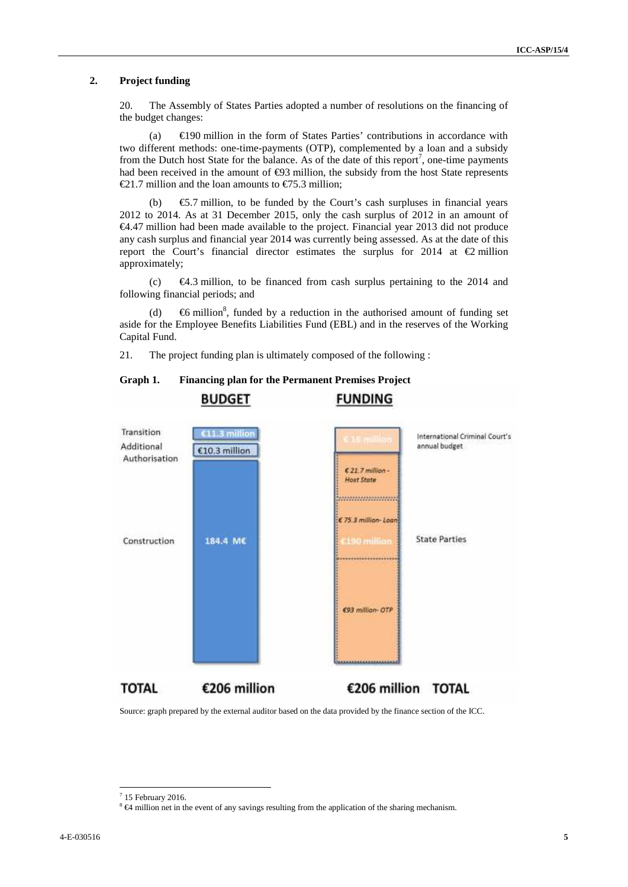#### **2. Project funding**

20. The Assembly of States Parties adopted a number of resolutions on the financing of the budget changes:

(a)  $\in$  490 million in the form of States Parties' contributions in accordance with two different methods: one-time-payments (OTP), complemented by a loan and a subsidy from the Dutch host State for the balance. As of the date of this report<sup>7</sup>, one-time payments had been received in the amount of  $\Theta$ 3 million, the subsidy from the host State represents €21.7 million and the loan amounts to €75.3 million;

(b) €5.7 million, to be funded by the Court's cash surpluses in financial years 2012 to 2014. As at 31 December 2015, only the cash surplus of 2012 in an amount of €4.47 million had been made available to the project. Financial year 2013 did not produce any cash surplus and financial year 2014 was currently being assessed. As at the date of this report the Court's financial director estimates the surplus for 2014 at  $\bigoplus$  million approximately;

(c) €4.3 million, to be financed from cash surplus pertaining to the 2014 and following financial periods; and

(d)  $\Theta$  million<sup>8</sup>, funded by a reduction in the authorised amount of funding set aside for the Employee Benefits Liabilities Fund (EBL) and in the reserves of the Working Capital Fund.

**FULLOINIC** 

21. The project funding plan is ultimately composed of the following :

|                                           | <b>BUDGEI</b>                        | <b>FUNDING</b>                                                                                                               |  |
|-------------------------------------------|--------------------------------------|------------------------------------------------------------------------------------------------------------------------------|--|
| Transition<br>Additional<br>Authorisation | <b>11.3 million</b><br>€10.3 million | International Criminal Court's<br>16 million<br>annual budget<br>$621.7$ million -<br>Host State<br>,,,,,,,,,,,,,,,,,,,,,,,, |  |
| Construction                              | 184.4 ME                             | € 75.3 million- Loan<br><b>State Parties</b><br>190 million<br>                                                              |  |
|                                           |                                      | €93 million- OTP                                                                                                             |  |
| <b>TOTAL</b>                              | €206 million                         | €206 million<br><b>TOTAL</b>                                                                                                 |  |

### **Graph 1. Financing plan for the Permanent Premises Project**

**DUDCET** 

Source: graph prepared by the external auditor based on the data provided by the finance section of the ICC.

 $7$  15 February 2016.

<sup>8 €4</sup> million net in the event of any savings resulting from the application of the sharing mechanism.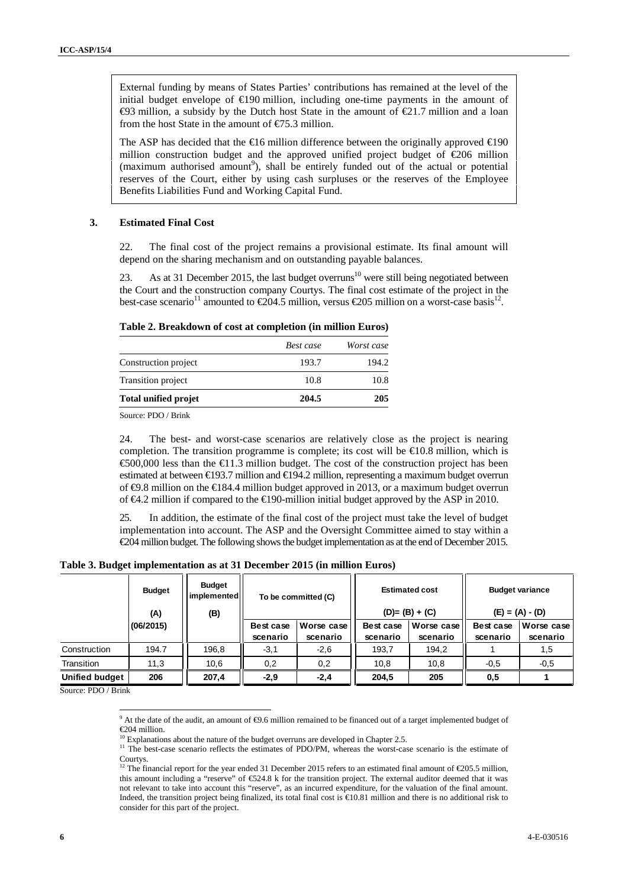External funding by means of States Parties' contributions has remained at the level of the initial budget envelope of  $\epsilon$ 190 million, including one-time payments in the amount of  $\bigoplus$ 3 million, a subsidy by the Dutch host State in the amount of  $\bigoplus$ 1.7 million and a loan from the host State in the amount of  $E$ 5.3 million.

The ASP has decided that the  $\in$ 16 million difference between the originally approved  $\in$ 190 million construction budget and the approved unified project budget of €206 million (maximum authorised amount<sup>9</sup>), shall be entirely funded out of the actual or potential reserves of the Court, either by using cash surpluses or the reserves of the Employee Benefits Liabilities Fund and Working Capital Fund.

#### **3. Estimated Final Cost**

22. The final cost of the project remains a provisional estimate. Its final amount will depend on the sharing mechanism and on outstanding payable balances.

23. As at 31 December 2015, the last budget overruns<sup>10</sup> were still being negotiated between the Court and the construction company Courtys. The final cost estimate of the project in the best-case scenario<sup>11</sup> amounted to  $\epsilon 204.5$  million, versus  $\epsilon 205$  million on a worst-case basis<sup>12</sup>.

#### **Table 2. Breakdown of cost at completion (in million Euros)**

|                             | Best case | Worst case |
|-----------------------------|-----------|------------|
| Construction project        | 193.7     | 194.2      |
| Transition project          | 10.8      | 10.8       |
| <b>Total unified projet</b> | 204.5     | 205        |

Source: PDO / Brink

24. The best- and worst-case scenarios are relatively close as the project is nearing completion. The transition programme is complete; its cost will be  $\text{E}0.8$  million, which is €500,000 less than the €11.3 million budget. The cost of the construction project has been estimated at between €193.7 million and €194.2 million, representing a maximum budget overrun of  $\bigoplus$ .8 million on the  $\bigoplus$ 84.4 million budget approved in 2013, or a maximum budget overrun of €4.2 million if compared to the €190-million initial budget approved by the ASP in 2010.

25. In addition, the estimate of the final cost of the project must take the level of budget implementation into account. The ASP and the Oversight Committee aimed to stay within a €204 million budget. The following shows the budget implementation as at the end of December 2015.

**Table 3. Budget implementation as at 31 December 2015 (in million Euros)**

|                       | <b>Budget</b><br>(A) | <b>Budget</b><br>implemented<br>To be committed (C)<br>(B) |                       | <b>Estimated cost</b><br>$(D)= (B) + (C)$ |                       | <b>Budget variance</b><br>$(E) = (A) - (D)$ |                       |                        |
|-----------------------|----------------------|------------------------------------------------------------|-----------------------|-------------------------------------------|-----------------------|---------------------------------------------|-----------------------|------------------------|
|                       | (06/2015)            |                                                            | Best case<br>scenario | Worse case<br>scenario                    | Best case<br>scenario | Worse case<br>scenario                      | Best case<br>scenario | Worse case<br>scenario |
| Construction          | 194.7                | 196,8                                                      | $-3,1$                | $-2,6$                                    | 193,7                 | 194,2                                       |                       | 1,5                    |
| Transition            | 11,3                 | 10,6                                                       | 0,2                   | 0,2                                       | 10,8                  | 10,8                                        | $-0,5$                | $-0,5$                 |
| <b>Unified budget</b> | 206                  | 207,4                                                      | $-2,9$                | $-2,4$                                    | 204,5                 | 205                                         | 0,5                   |                        |

Source: PDO / Brink

<sup>&</sup>lt;sup>9</sup> At the date of the audit, an amount of ⊕.6 million remained to be financed out of a target implemented budget of €204 million.<br><sup>10</sup> Explanations about the nature of the budget overruns are developed in Chapter 2.5.

<sup>&</sup>lt;sup>11</sup> The best-case scenario reflects the estimates of PDO/PM, whereas the worst-case scenario is the estimate of Courtys.

<sup>&</sup>lt;sup>12</sup> The financial report for the year ended 31 December 2015 refers to an estimated final amount of  $\epsilon$ 205.5 million, this amount including a "reserve" of €524.8 k for the transition project. The external auditor deemed that it was not relevant to take into account this "reserve", as an incurred expenditure, for the valuation of the final amount. Indeed, the transition project being finalized, its total final cost is  $\text{\textsterling}0.81$  million and there is no additional risk to consider for this part of the project.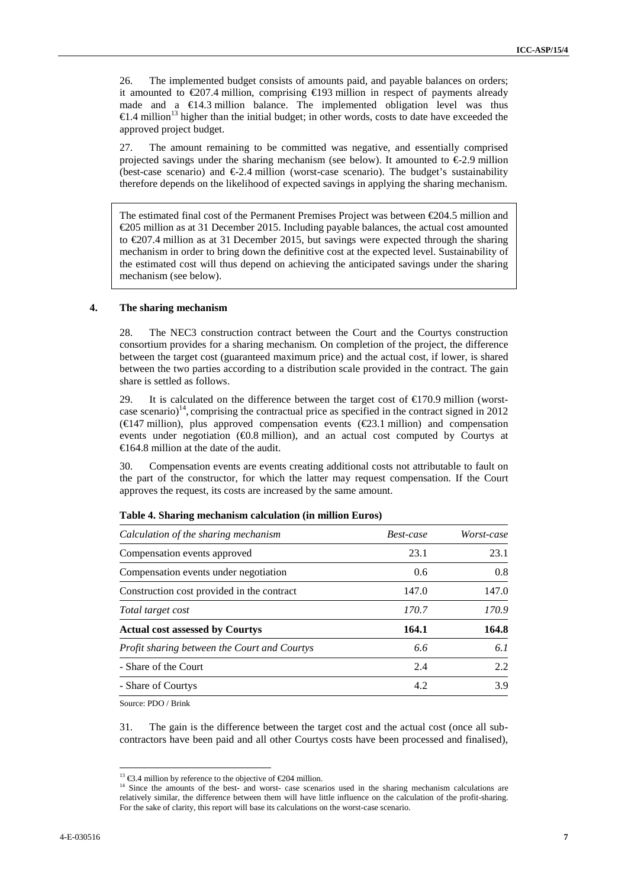26. The implemented budget consists of amounts paid, and payable balances on orders; it amounted to  $\epsilon$ 207.4 million, comprising  $\epsilon$ 193 million in respect of payments already made and a €14.3 million balance. The implemented obligation level was thus €1.4 million<sup>13</sup> higher than the initial budget; in other words, costs to date have exceeded the approved project budget.

27. The amount remaining to be committed was negative, and essentially comprised projected savings under the sharing mechanism (see below). It amounted to  $\epsilon$ 2.9 million (best-case scenario) and  $\epsilon 2.4$  million (worst-case scenario). The budget's sustainability therefore depends on the likelihood of expected savings in applying the sharing mechanism.

The estimated final cost of the Permanent Premises Project was between €204.5 million and €205 million as at 31 December 2015. Including payable balances, the actual cost amounted to €207.4 million as at 31 December 2015, but savings were expected through the sharing mechanism in order to bring down the definitive cost at the expected level. Sustainability of the estimated cost will thus depend on achieving the anticipated savings under the sharing mechanism (see below).

#### **4. The sharing mechanism**

28. The NEC3 construction contract between the Court and the Courtys construction consortium provides for a sharing mechanism*.* On completion of the project, the difference between the target cost (guaranteed maximum price) and the actual cost, if lower, is shared between the two parties according to a distribution scale provided in the contract. The gain share is settled as follows.

29. It is calculated on the difference between the target cost of  $\epsilon$ 170.9 million (worstcase scenario)<sup>14</sup>, comprising the contractual price as specified in the contract signed in 2012 (€147 million), plus approved compensation events (€23.1 million) and compensation events under negotiation  $(40.8 \text{ million})$ , and an actual cost computed by Courtys at €164.8 million at the date of the audit.

30. Compensation events are events creating additional costs not attributable to fault on the part of the constructor, for which the latter may request compensation. If the Court approves the request, its costs are increased by the same amount.

| Calculation of the sharing mechanism         | Best-case | Worst-case |
|----------------------------------------------|-----------|------------|
| Compensation events approved                 | 23.1      | 23.1       |
| Compensation events under negotiation        | 0.6       | 0.8        |
| Construction cost provided in the contract   | 147.0     | 147.0      |
| Total target cost                            | 170.7     | 170.9      |
| <b>Actual cost assessed by Courtys</b>       | 164.1     | 164.8      |
| Profit sharing between the Court and Courtys | 6.6       | 6.1        |
| - Share of the Court                         | 2.4       | 2.2        |
| - Share of Courtys                           | 4.2       | 3.9        |

#### **Table 4. Sharing mechanism calculation (in million Euros)**

Source: PDO / Brink

31. The gain is the difference between the target cost and the actual cost (once all sub contractors have been paid and all other Courtys costs have been processed and finalised),

<sup>&</sup>lt;sup>13</sup>  $\text{€3.4}$  million by reference to the objective of  $\text{€204}$  million.<br><sup>14</sup> Since the amounts of the best- and worst- case scenarios used in the sharing mechanism calculations are relatively similar, the difference between them will have little influence on the calculation of the profit-sharing. For the sake of clarity, this report will base its calculations on the worst-case scenario.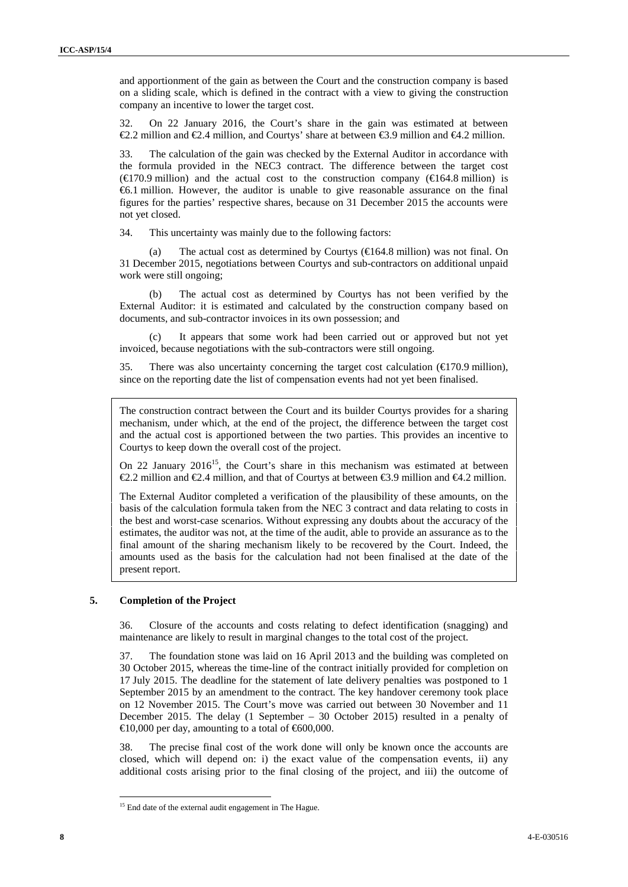and apportionment of the gain as between the Court and the construction company is based on a sliding scale, which is defined in the contract with a view to giving the construction company an incentive to lower the target cost.

32. On 22 January 2016, the Court's share in the gain was estimated at between  $€2.2$  million and €2.4 million, and Courtys' share at between €3.9 million and €4.2 million.

33. The calculation of the gain was checked by the External Auditor in accordance with the formula provided in the NEC3 contract. The difference between the target cost  $(\text{€170.9 million})$  and the actual cost to the construction company  $(\text{€164.8 million})$  is €6.1 million. However, the auditor is unable to give reasonable assurance on the final figures for the parties' respective shares, because on 31 December 2015 the accounts were not yet closed.

34. This uncertainty was mainly due to the following factors:

The actual cost as determined by Courtys ( $\in$ 164.8 million) was not final. On 31 December 2015, negotiations between Courtys and sub-contractors on additional unpaid work were still ongoing;

(b) The actual cost as determined by Courtys has not been verified by the External Auditor: it is estimated and calculated by the construction company based on documents, and sub-contractor invoices in its own possession; and

(c) It appears that some work had been carried out or approved but not yet invoiced, because negotiations with the sub-contractors were still ongoing.

35. There was also uncertainty concerning the target cost calculation  $(\text{ }6170.9 \text{ million})$ , since on the reporting date the list of compensation events had not yet been finalised.

The construction contract between the Court and its builder Courtys provides for a sharing mechanism, under which, at the end of the project, the difference between the target cost and the actual cost is apportioned between the two parties. This provides an incentive to Courtys to keep down the overall cost of the project.

On 22 January  $2016^{15}$ , the Court's share in this mechanism was estimated at between €2.2 million and €2.4 million, and that of Courtys at between €3.9 million and €4.2 million.

The External Auditor completed a verification of the plausibility of these amounts, on the basis of the calculation formula taken from the NEC 3 contract and data relating to costs in the best and worst-case scenarios. Without expressing any doubts about the accuracy of the estimates, the auditor was not, at the time of the audit, able to provide an assurance as to the final amount of the sharing mechanism likely to be recovered by the Court. Indeed, the amounts used as the basis for the calculation had not been finalised at the date of the present report.

#### **5. Completion of the Project**

36. Closure of the accounts and costs relating to defect identification (snagging) and maintenance are likely to result in marginal changes to the total cost of the project.

37. The foundation stone was laid on 16 April 2013 and the building was completed on 30 October 2015, whereas the time-line of the contract initially provided for completion on 17 July 2015. The deadline for the statement of late delivery penalties was postponed to 1 September 2015 by an amendment to the contract. The key handover ceremony took place on 12 November 2015. The Court's move was carried out between 30 November and 11 December 2015. The delay (1 September – 30 October 2015) resulted in a penalty of  $\triangleq$ 10,000 per day, amounting to a total of  $\triangleq$ 600,000.

38. The precise final cost of the work done will only be known once the accounts are closed, which will depend on: i) the exact value of the compensation events, ii) any additional costs arising prior to the final closing of the project, and iii) the outcome of

<sup>&</sup>lt;sup>15</sup> End date of the external audit engagement in The Hague.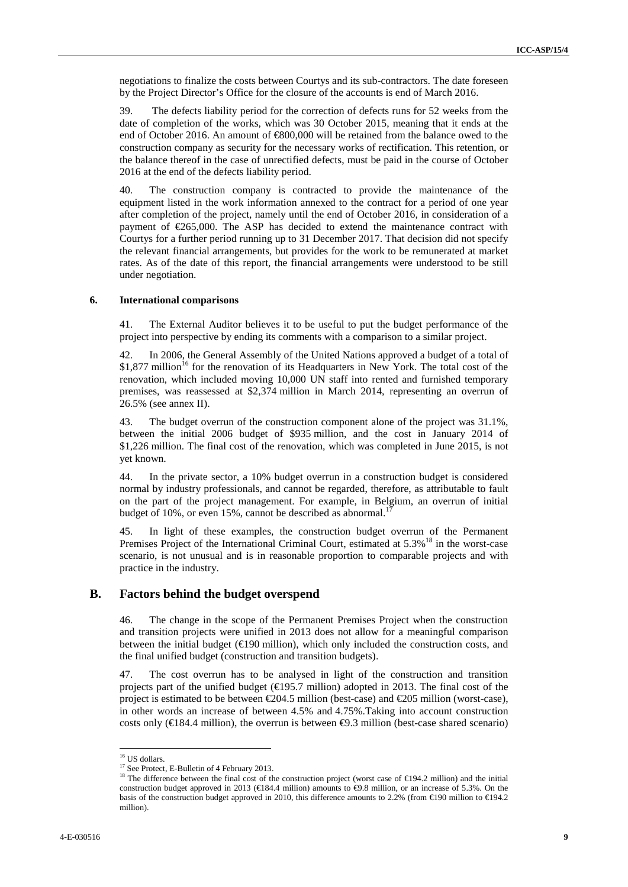negotiations to finalize the costs between Courtys and its sub-contractors. The date foreseen by the Project Director's Office for the closure of the accounts is end of March 2016.

39. The defects liability period for the correction of defects runs for 52 weeks from the date of completion of the works, which was 30 October 2015, meaning that it ends at the end of October 2016. An amount of  $\text{\textcircled{}}800,000$  will be retained from the balance owed to the construction company as security for the necessary works of rectification. This retention, or the balance thereof in the case of unrectified defects, must be paid in the course of October 2016 at the end of the defects liability period.

40. The construction company is contracted to provide the maintenance of the equipment listed in the work information annexed to the contract for a period of one year after completion of the project, namely until the end of October 2016, in consideration of a payment of  $\epsilon$ 65,000. The ASP has decided to extend the maintenance contract with Courtys for a further period running up to 31 December 2017. That decision did not specify the relevant financial arrangements, but provides for the work to be remunerated at market rates. As of the date of this report, the financial arrangements were understood to be still under negotiation.

#### **6. International comparisons**

41. The External Auditor believes it to be useful to put the budget performance of the project into perspective by ending its comments with a comparison to a similar project.

42. In 2006, the General Assembly of the United Nations approved a budget of a total of  $$1,877$  million<sup>16</sup> for the renovation of its Headquarters in New York. The total cost of the renovation, which included moving 10,000 UN staff into rented and furnished temporary premises, was reassessed at \$2,374 million in March 2014, representing an overrun of 26.5% (see annex II).

43. The budget overrun of the construction component alone of the project was 31.1%, between the initial 2006 budget of \$935 million, and the cost in January 2014 of \$1,226 million. The final cost of the renovation, which was completed in June 2015, is not yet known.

44. In the private sector, a 10% budget overrun in a construction budget is considered normal by industry professionals, and cannot be regarded, therefore, as attributable to fault on the part of the project management. For example, in Belgium, an overrun of initial budget of 10%, or even 15%, cannot be described as abnormal.<sup>17</sup>

45. In light of these examples, the construction budget overrun of the Permanent Premises Project of the International Criminal Court, estimated at 5.3%<sup>18</sup> in the worst-case scenario, is not unusual and is in reasonable proportion to comparable projects and with practice in the industry.

### **B. Factors behind the budget overspend**

46. The change in the scope of the Permanent Premises Project when the construction and transition projects were unified in 2013 does not allow for a meaningful comparison between the initial budget ( $\bigoplus$ 90 million), which only included the construction costs, and the final unified budget (construction and transition budgets).

47. The cost overrun has to be analysed in light of the construction and transition projects part of the unified budget  $(\text{E}195.7 \text{ million})$  adopted in 2013. The final cost of the project is estimated to be between  $\infty$ 04.5 million (best-case) and  $\infty$ 05 million (worst-case), in other words an increase of between 4.5% and 4.75%.Taking into account construction costs only ( $\in$ 84.4 million), the overrun is between  $\Theta$ .3 million (best-case shared scenario)

<sup>&</sup>lt;sup>16</sup> US dollars.

<sup>&</sup>lt;sup>17</sup> See Protect, E-Bulletin of 4 February 2013.

<sup>&</sup>lt;sup>18</sup> The difference between the final cost of the construction project (worst case of €194.2 million) and the initial construction budget approved in 2013 (€184.4 million) amounts to  $\Theta$ .8 million, or an increase of 5.3%. On the basis of the construction budget approved in 2010, this difference amounts to 2.2% (from €190 million to €194.2 million).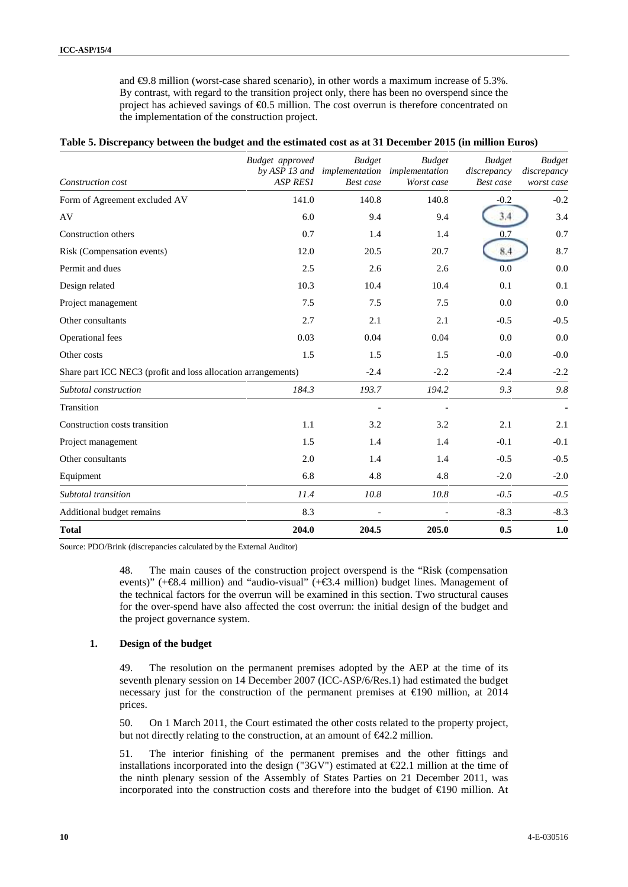and €9.8 million (worst-case shared scenario), in other words a maximum increase of 5.3%. By contrast, with regard to the transition project only, there has been no overspend since the project has achieved savings of  $\Theta$ .5 million. The cost overrun is therefore concentrated on the implementation of the construction project.

| Table 5. Discrepancy between the budget and the estimated cost as at 31 December 2015 (in million Euros) |  |
|----------------------------------------------------------------------------------------------------------|--|
|                                                                                                          |  |

| Construction cost                                             | Budget approved<br><b>ASP RESI</b> | <b>Budget</b><br>by ASP 13 and implementation implementation<br>Best case | <b>Budget</b><br>Worst case | <b>Budget</b><br>discrepancy<br>Best case | <b>Budget</b><br>discrepancy<br>worst case |
|---------------------------------------------------------------|------------------------------------|---------------------------------------------------------------------------|-----------------------------|-------------------------------------------|--------------------------------------------|
| Form of Agreement excluded AV                                 | 141.0                              | 140.8                                                                     | 140.8                       | $-0.2$                                    | $-0.2$                                     |
| AV                                                            | 6.0                                | 9.4                                                                       | 9.4                         | 3.4                                       | 3.4                                        |
| Construction others                                           | 0.7                                | 1.4                                                                       | 1.4                         | 0.7                                       | 0.7                                        |
| Risk (Compensation events)                                    | 12.0                               | 20.5                                                                      | 20.7                        | 8.4                                       | 8.7                                        |
| Permit and dues                                               | 2.5                                | 2.6                                                                       | 2.6                         | 0.0                                       | 0.0                                        |
| Design related                                                | 10.3                               | 10.4                                                                      | 10.4                        | 0.1                                       | 0.1                                        |
| Project management                                            | 7.5                                | 7.5                                                                       | 7.5                         | 0.0                                       | 0.0                                        |
| Other consultants                                             | 2.7                                | 2.1                                                                       | 2.1                         | $-0.5$                                    | $-0.5$                                     |
| Operational fees                                              | 0.03                               | 0.04                                                                      | 0.04                        | 0.0                                       | 0.0                                        |
| Other costs                                                   | 1.5                                | 1.5                                                                       | 1.5                         | $-0.0$                                    | $-0.0$                                     |
| Share part ICC NEC3 (profit and loss allocation arrangements) |                                    | $-2.4$                                                                    | $-2.2$                      | $-2.4$                                    | $-2.2$                                     |
| Subtotal construction                                         | 184.3                              | 193.7                                                                     | 194.2                       | 9.3                                       | 9.8                                        |
| Transition                                                    |                                    |                                                                           |                             |                                           |                                            |
| Construction costs transition                                 | 1.1                                | 3.2                                                                       | 3.2                         | 2.1                                       | 2.1                                        |
| Project management                                            | 1.5                                | 1.4                                                                       | 1.4                         | $-0.1$                                    | $-0.1$                                     |
| Other consultants                                             | 2.0                                | 1.4                                                                       | 1.4                         | $-0.5$                                    | $-0.5$                                     |
| Equipment                                                     | 6.8                                | 4.8                                                                       | 4.8                         | $-2.0$                                    | $-2.0$                                     |
| Subtotal transition                                           | 11.4                               | 10.8                                                                      | 10.8                        | $-0.5$                                    | $-0.5$                                     |
| Additional budget remains                                     | 8.3                                | $\overline{\phantom{a}}$                                                  |                             | $-8.3$                                    | $-8.3$                                     |
| <b>Total</b>                                                  | 204.0                              | 204.5                                                                     | 205.0                       | 0.5                                       | 1.0                                        |

Source: PDO/Brink (discrepancies calculated by the External Auditor)

48. The main causes of the construction project overspend is the "Risk (compensation events)" ( $+\mathfrak{B}A$  million) and "audio-visual" ( $+\mathfrak{B}A$  million) budget lines. Management of the technical factors for the overrun will be examined in this section. Two structural causes for the over-spend have also affected the cost overrun: the initial design of the budget and the project governance system.

#### **1. Design of the budget**

49. The resolution on the permanent premises adopted by the AEP at the time of its seventh plenary session on 14 December 2007 (ICC-ASP/6/Res.1) had estimated the budget necessary just for the construction of the permanent premises at €190 million, at 2014 prices.

50. On 1 March 2011, the Court estimated the other costs related to the property project, but not directly relating to the construction, at an amount of  $\epsilon 42.2$  million.

51. The interior finishing of the permanent premises and the other fittings and installations incorporated into the design ("3GV") estimated at  $E$ 2.1 million at the time of the ninth plenary session of the Assembly of States Parties on 21 December 2011, was incorporated into the construction costs and therefore into the budget of €190 million. At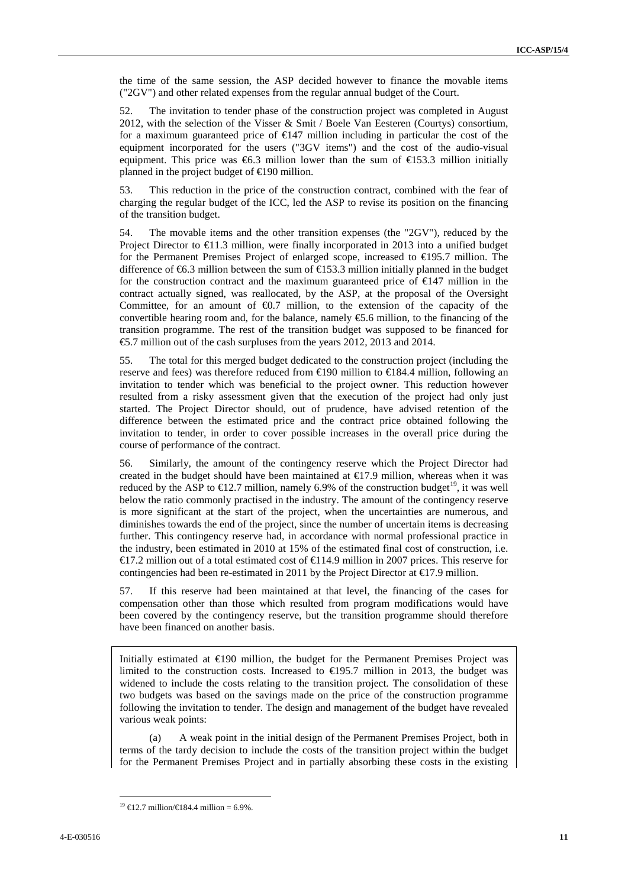the time of the same session, the ASP decided however to finance the movable items ("2GV") and other related expenses from the regular annual budget of the Court.

52. The invitation to tender phase of the construction project was completed in August 2012, with the selection of the Visser & Smit / Boele Van Eesteren (Courtys) consortium, for a maximum guaranteed price of  $\infty$  447 million including in particular the cost of the equipment incorporated for the users ("3GV items") and the cost of the audio-visual equipment. This price was  $\epsilon$ 6.3 million lower than the sum of  $\epsilon$ 153.3 million initially planned in the project budget of  $\in$  90 million.

53. This reduction in the price of the construction contract, combined with the fear of charging the regular budget of the ICC, led the ASP to revise its position on the financing of the transition budget.

54. The movable items and the other transition expenses (the "2GV"), reduced by the Project Director to  $\bigoplus$  1.3 million, were finally incorporated in 2013 into a unified budget for the Permanent Premises Project of enlarged scope, increased to €195.7 million. The difference of  $\epsilon$ 6.3 million between the sum of  $\epsilon$ 153.3 million initially planned in the budget for the construction contract and the maximum guaranteed price of €147 million in the contract actually signed, was reallocated, by the ASP, at the proposal of the Oversight Committee, for an amount of  $\Theta$ .7 million, to the extension of the capacity of the convertible hearing room and, for the balance, namely  $\epsilon$ 5.6 million, to the financing of the transition programme. The rest of the transition budget was supposed to be financed for €5.7 million out of the cash surpluses from the years 2012, 2013 and 2014.

55. The total for this merged budget dedicated to the construction project (including the reserve and fees) was therefore reduced from  $\in$ 190 million to  $\in$ 184.4 million, following an invitation to tender which was beneficial to the project owner. This reduction however resulted from a risky assessment given that the execution of the project had only just started. The Project Director should, out of prudence, have advised retention of the difference between the estimated price and the contract price obtained following the invitation to tender, in order to cover possible increases in the overall price during the course of performance of the contract.

56. Similarly, the amount of the contingency reserve which the Project Director had created in the budget should have been maintained at  $\bigoplus$  7.9 million, whereas when it was reduced by the ASP to  $\in$  2.7 million, namely 6.9% of the construction budget<sup>19</sup>, it was well below the ratio commonly practised in the industry. The amount of the contingency reserve is more significant at the start of the project, when the uncertainties are numerous, and diminishes towards the end of the project, since the number of uncertain items is decreasing further. This contingency reserve had, in accordance with normal professional practice in the industry, been estimated in 2010 at 15% of the estimated final cost of construction, i.e. €17.2 million out of a total estimated cost of €114.9 million in 2007 prices. This reserve for contingencies had been re-estimated in 2011 by the Project Director at  $\epsilon$ 17.9 million.

57. If this reserve had been maintained at that level, the financing of the cases for compensation other than those which resulted from program modifications would have been covered by the contingency reserve, but the transition programme should therefore have been financed on another basis.

Initially estimated at  $\in$ 190 million, the budget for the Permanent Premises Project was limited to the construction costs. Increased to  $\in$  95.7 million in 2013, the budget was widened to include the costs relating to the transition project. The consolidation of these two budgets was based on the savings made on the price of the construction programme following the invitation to tender. The design and management of the budget have revealed various weak points:

(a) A weak point in the initial design of the Permanent Premises Project, both in terms of the tardy decision to include the costs of the transition project within the budget for the Permanent Premises Project and in partially absorbing these costs in the existing

<sup>&</sup>lt;sup>19</sup> €12.7 million/€184.4 million = 6.9%.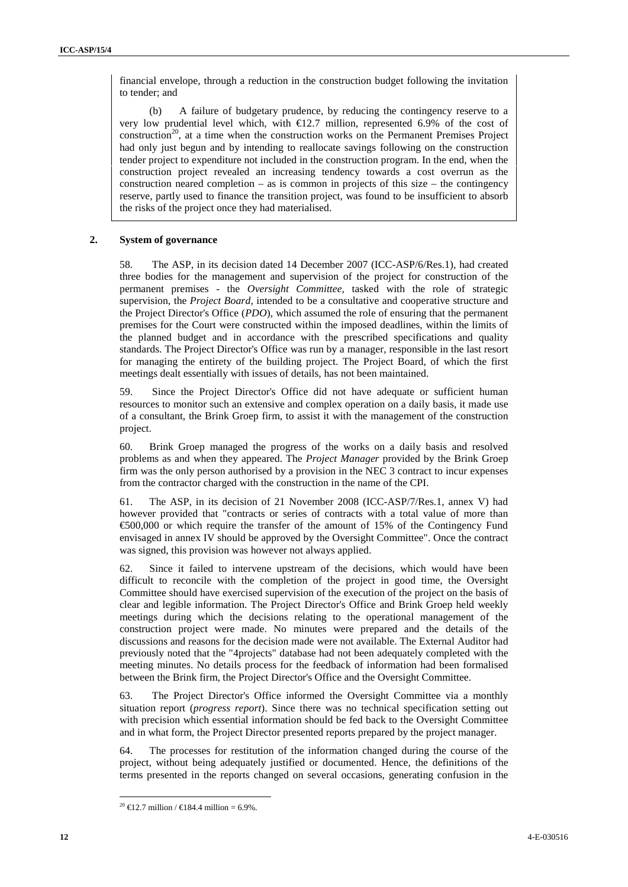financial envelope, through a reduction in the construction budget following the invitation to tender; and

(b) A failure of budgetary prudence, by reducing the contingency reserve to a very low prudential level which, with  $\epsilon$ 12.7 million, represented 6.9% of the cost of  $\arccos{100}^{20}$ , at a time when the construction works on the Permanent Premises Project had only just begun and by intending to reallocate savings following on the construction tender project to expenditure not included in the construction program. In the end, when the construction project revealed an increasing tendency towards a cost overrun as the construction neared completion – as is common in projects of this size – the contingency reserve, partly used to finance the transition project, was found to be insufficient to absorb the risks of the project once they had materialised.

#### **2. System of governance**

58. The ASP, in its decision dated 14 December 2007 (ICC-ASP/6/Res.1), had created three bodies for the management and supervision of the project for construction of the permanent premises - the *Oversight Committee,* tasked with the role of strategic supervision, the *Project Board,* intended to be a consultative and cooperative structure and the Project Director's Office (*PDO*), which assumed the role of ensuring that the permanent premises for the Court were constructed within the imposed deadlines, within the limits of the planned budget and in accordance with the prescribed specifications and quality standards. The Project Director's Office was run by a manager, responsible in the last resort for managing the entirety of the building project. The Project Board, of which the first meetings dealt essentially with issues of details, has not been maintained.

59. Since the Project Director's Office did not have adequate or sufficient human resources to monitor such an extensive and complex operation on a daily basis, it made use of a consultant, the Brink Groep firm, to assist it with the management of the construction project.

60. Brink Groep managed the progress of the works on a daily basis and resolved problems as and when they appeared. The *Project Manager* provided by the Brink Groep firm was the only person authorised by a provision in the NEC 3 contract to incur expenses from the contractor charged with the construction in the name of the CPI.

61. The ASP, in its decision of 21 November 2008 (ICC-ASP/7/Res.1, annex V) had however provided that "contracts or series of contracts with a total value of more than €500,000 or which require the transfer of the amount of 15% of the Contingency Fund envisaged in annex IV should be approved by the Oversight Committee". Once the contract was signed, this provision was however not always applied.

62. Since it failed to intervene upstream of the decisions, which would have been difficult to reconcile with the completion of the project in good time, the Oversight Committee should have exercised supervision of the execution of the project on the basis of clear and legible information. The Project Director's Office and Brink Groep held weekly meetings during which the decisions relating to the operational management of the construction project were made. No minutes were prepared and the details of the discussions and reasons for the decision made were not available. The External Auditor had previously noted that the "4projects" database had not been adequately completed with the meeting minutes. No details process for the feedback of information had been formalised between the Brink firm, the Project Director's Office and the Oversight Committee.

63. The Project Director's Office informed the Oversight Committee via a monthly situation report (*progress report*). Since there was no technical specification setting out with precision which essential information should be fed back to the Oversight Committee and in what form, the Project Director presented reports prepared by the project manager.

64. The processes for restitution of the information changed during the course of the project, without being adequately justified or documented. Hence, the definitions of the terms presented in the reports changed on several occasions, generating confusion in the

<sup>&</sup>lt;sup>20</sup> **€12.7** million / **€184.4** million = 6.9%.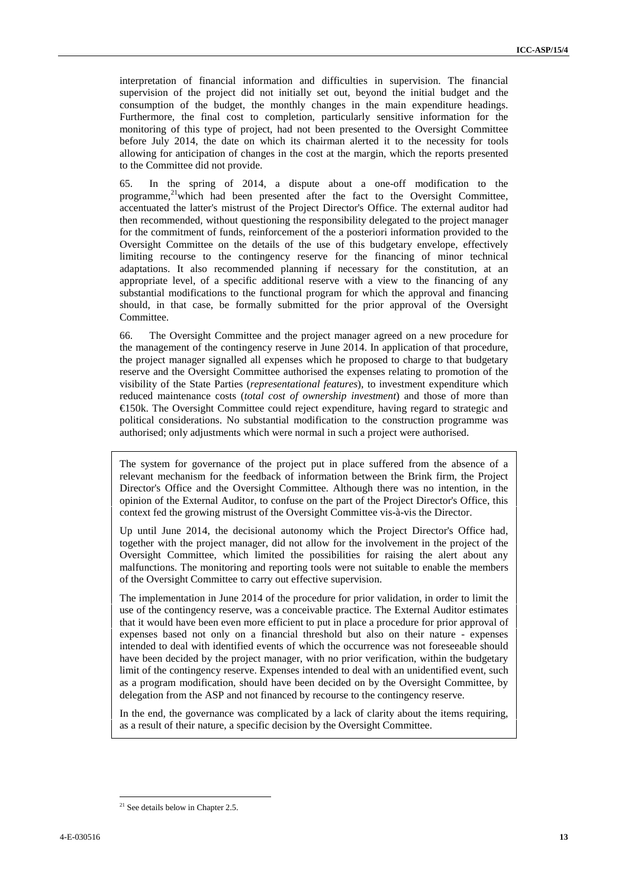interpretation of financial information and difficulties in supervision. The financial supervision of the project did not initially set out, beyond the initial budget and the consumption of the budget, the monthly changes in the main expenditure headings. Furthermore, the final cost to completion, particularly sensitive information for the monitoring of this type of project, had not been presented to the Oversight Committee before July 2014, the date on which its chairman alerted it to the necessity for tools allowing for anticipation of changes in the cost at the margin, which the reports presented to the Committee did not provide.

65. In the spring of 2014, a dispute about a one-off modification to the programme,<sup>21</sup>which had been presented after the fact to the Oversight Committee, accentuated the latter's mistrust of the Project Director's Office. The external auditor had then recommended, without questioning the responsibility delegated to the project manager for the commitment of funds, reinforcement of the a posteriori information provided to the Oversight Committee on the details of the use of this budgetary envelope, effectively limiting recourse to the contingency reserve for the financing of minor technical adaptations. It also recommended planning if necessary for the constitution, at an appropriate level, of a specific additional reserve with a view to the financing of any substantial modifications to the functional program for which the approval and financing should, in that case, be formally submitted for the prior approval of the Oversight Committee.

66. The Oversight Committee and the project manager agreed on a new procedure for the management of the contingency reserve in June 2014. In application of that procedure, the project manager signalled all expenses which he proposed to charge to that budgetary reserve and the Oversight Committee authorised the expenses relating to promotion of the visibility of the State Parties (*representational features*), to investment expenditure which reduced maintenance costs (*total cost of ownership investment*) and those of more than €150k. The Oversight Committee could reject expenditure, having regard to strategic and political considerations. No substantial modification to the construction programme was authorised; only adjustments which were normal in such a project were authorised.

The system for governance of the project put in place suffered from the absence of a relevant mechanism for the feedback of information between the Brink firm, the Project Director's Office and the Oversight Committee. Although there was no intention, in the opinion of the External Auditor, to confuse on the part of the Project Director's Office, this context fed the growing mistrust of the Oversight Committee vis-à-vis the Director.

Up until June 2014, the decisional autonomy which the Project Director's Office had, together with the project manager, did not allow for the involvement in the project of the Oversight Committee, which limited the possibilities for raising the alert about any malfunctions. The monitoring and reporting tools were not suitable to enable the members of the Oversight Committee to carry out effective supervision.

The implementation in June 2014 of the procedure for prior validation, in order to limit the use of the contingency reserve, was a conceivable practice. The External Auditor estimates that it would have been even more efficient to put in place a procedure for prior approval of expenses based not only on a financial threshold but also on their nature -expenses intended to deal with identified events of which the occurrence was not foreseeable should have been decided by the project manager, with no prior verification, within the budgetary limit of the contingency reserve. Expenses intended to deal with an unidentified event, such as a program modification, should have been decided on by the Oversight Committee, by delegation from the ASP and not financed by recourse to the contingency reserve.

In the end, the governance was complicated by a lack of clarity about the items requiring, as a result of their nature, a specific decision by the Oversight Committee.

 $21$  See details below in Chapter 2.5.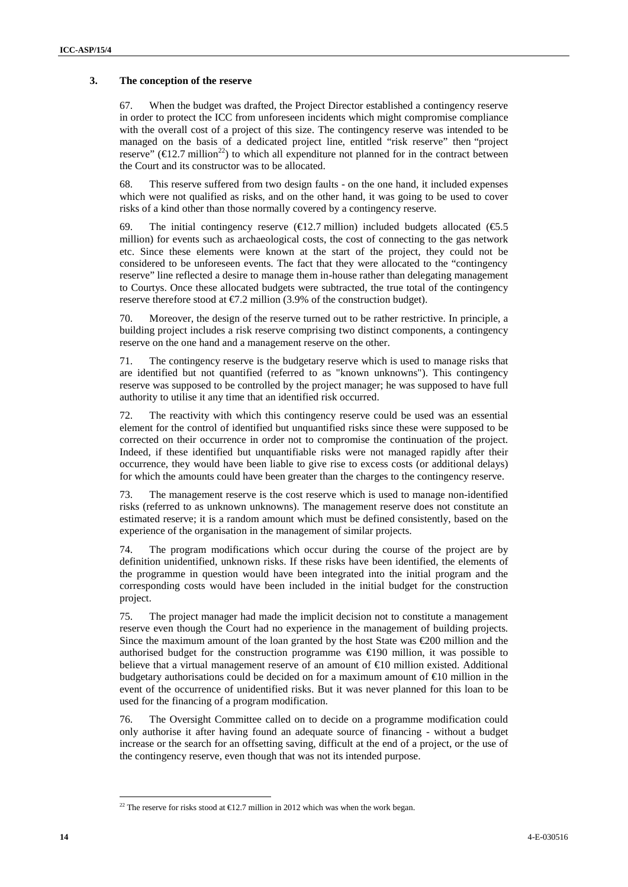#### **3. The conception of the reserve**

67. When the budget was drafted, the Project Director established a contingency reserve in order to protect the ICC from unforeseen incidents which might compromise compliance with the overall cost of a project of this size. The contingency reserve was intended to be managed on the basis of a dedicated project line, entitled "risk reserve" then "project reserve" ( $\in$ 12.7 million<sup>22</sup>) to which all expenditure not planned for in the contract between the Court and its constructor was to be allocated.

68. This reserve suffered from two design faults - on the one hand, it included expenses which were not qualified as risks, and on the other hand, it was going to be used to cover risks of a kind other than those normally covered by a contingency reserve.

69. The initial contingency reserve ( $\epsilon$ 12.7 million) included budgets allocated ( $\epsilon$ 5.5 million) for events such as archaeological costs, the cost of connecting to the gas network etc. Since these elements were known at the start of the project, they could not be considered to be unforeseen events. The fact that they were allocated to the "contingency reserve" line reflected a desire to manage them in-house rather than delegating management to Courtys. Once these allocated budgets were subtracted, the true total of the contingency reserve therefore stood at  $\epsilon 7.2$  million (3.9% of the construction budget).

70. Moreover, the design of the reserve turned out to be rather restrictive. In principle, a building project includes a risk reserve comprising two distinct components, a contingency reserve on the one hand and a management reserve on the other.

71. The contingency reserve is the budgetary reserve which is used to manage risks that are identified but not quantified (referred to as "known unknowns"). This contingency reserve was supposed to be controlled by the project manager; he was supposed to have full authority to utilise it any time that an identified risk occurred.

72. The reactivity with which this contingency reserve could be used was an essential element for the control of identified but unquantified risks since these were supposed to be corrected on their occurrence in order not to compromise the continuation of the project. Indeed, if these identified but unquantifiable risks were not managed rapidly after their occurrence, they would have been liable to give rise to excess costs (or additional delays) for which the amounts could have been greater than the charges to the contingency reserve.

73. The management reserve is the cost reserve which is used to manage non-identified risks (referred to as unknown unknowns). The management reserve does not constitute an estimated reserve; it is a random amount which must be defined consistently, based on the experience of the organisation in the management of similar projects.

74. The program modifications which occur during the course of the project are by definition unidentified, unknown risks. If these risks have been identified, the elements of the programme in question would have been integrated into the initial program and the corresponding costs would have been included in the initial budget for the construction project.

75. The project manager had made the implicit decision not to constitute a management reserve even though the Court had no experience in the management of building projects. Since the maximum amount of the loan granted by the host State was  $\epsilon$ 200 million and the authorised budget for the construction programme was  $\in$ 190 million, it was possible to believe that a virtual management reserve of an amount of €10 million existed. Additional budgetary authorisations could be decided on for a maximum amount of  $\epsilon 0$  million in the event of the occurrence of unidentified risks. But it was never planned for this loan to be used for the financing of a program modification.

76. The Oversight Committee called on to decide on a programme modification could only authorise it after having found an adequate source of financing - without a budget increase or the search for an offsetting saving, difficult at the end of a project, or the use of the contingency reserve, even though that was not its intended purpose.

<sup>&</sup>lt;sup>22</sup> The reserve for risks stood at  $\text{E}12.7$  million in 2012 which was when the work began.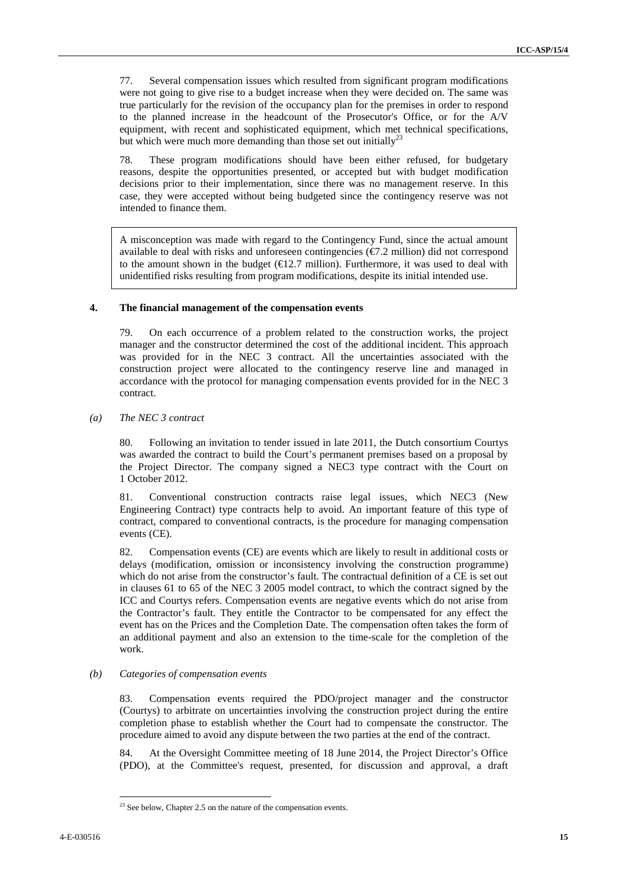77. Several compensation issues which resulted from significant program modifications were not going to give rise to a budget increase when they were decided on. The same was true particularly for the revision of the occupancy plan for the premises in order to respond to the planned increase in the headcount of the Prosecutor's Office, or for the A/V equipment, with recent and sophisticated equipment, which met technical specifications, but which were much more demanding than those set out initially<sup>23</sup>

78. These program modifications should have been either refused, for budgetary reasons, despite the opportunities presented, or accepted but with budget modification decisions prior to their implementation, since there was no management reserve. In this case, they were accepted without being budgeted since the contingency reserve was not intended to finance them.

A misconception was made with regard to the Contingency Fund, since the actual amount available to deal with risks and unforeseen contingencies ( $\epsilon$ 7.2 million) did not correspond to the amount shown in the budget  $(\text{E}12.7 \text{ million})$ . Furthermore, it was used to deal with unidentified risks resulting from program modifications, despite its initial intended use.

#### **4. The financial management of the compensation events**

79. On each occurrence of a problem related to the construction works, the project manager and the constructor determined the cost of the additional incident. This approach was provided for in the NEC 3 contract. All the uncertainties associated with the construction project were allocated to the contingency reserve line and managed in accordance with the protocol for managing compensation events provided for in the NEC 3 contract.

#### *(a) The NEC 3 contract*

80. Following an invitation to tender issued in late 2011, the Dutch consortium Courtys was awarded the contract to build the Court's permanent premises based on a proposal by the Project Director. The company signed a NEC3 type contract with the Court on 1 October 2012.

81. Conventional construction contracts raise legal issues, which NEC3 (New Engineering Contract) type contracts help to avoid. An important feature of this type of contract, compared to conventional contracts, is the procedure for managing compensation events (CE).

82. Compensation events (CE) are events which are likely to result in additional costs or delays (modification, omission or inconsistency involving the construction programme) which do not arise from the constructor's fault. The contractual definition of a CE is set out in clauses 61 to 65 of the NEC 3 2005 model contract, to which the contract signed by the ICC and Courtys refers. Compensation events are negative events which do not arise from the Contractor's fault. They entitle the Contractor to be compensated for any effect the event has on the Prices and the Completion Date. The compensation often takes the form of an additional payment and also an extension to the time-scale for the completion of the work.

#### *(b) Categories of compensation events*

83. Compensation events required the PDO/project manager and the constructor (Courtys) to arbitrate on uncertainties involving the construction project during the entire completion phase to establish whether the Court had to compensate the constructor. The procedure aimed to avoid any dispute between the two parties at the end of the contract.

84. At the Oversight Committee meeting of 18 June 2014, the Project Director's Office (PDO), at the Committee's request, presented, for discussion and approval, a draft

 $23$  See below, Chapter 2.5 on the nature of the compensation events.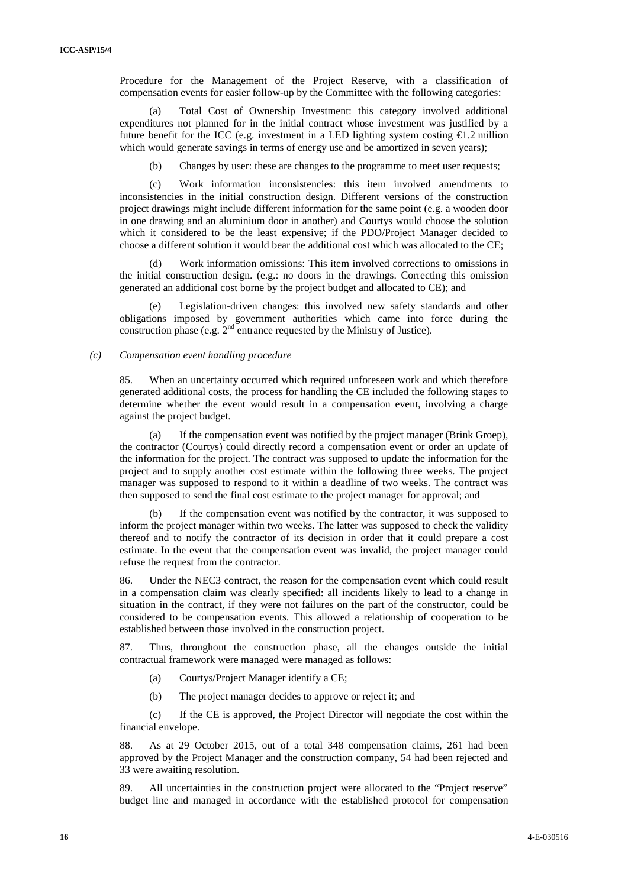Procedure for the Management of the Project Reserve, with a classification of compensation events for easier follow-up by the Committee with the following categories:

(a) Total Cost of Ownership Investment: this category involved additional expenditures not planned for in the initial contract whose investment was justified by a future benefit for the ICC (e.g. investment in a LED lighting system costing  $\epsilon$ 1.2 million which would generate savings in terms of energy use and be amortized in seven years);

(b) Changes by user: these are changes to the programme to meet user requests;

(c) Work information inconsistencies: this item involved amendments to inconsistencies in the initial construction design. Different versions of the construction project drawings might include different information for the same point (e.g. a wooden door in one drawing and an aluminium door in another) and Courtys would choose the solution which it considered to be the least expensive; if the PDO/Project Manager decided to choose a different solution it would bear the additional cost which was allocated to the CE;

(d) Work information omissions: This item involved corrections to omissions in the initial construction design. (e.g.: no doors in the drawings. Correcting this omission generated an additional cost borne by the project budget and allocated to CE); and

(e) Legislation-driven changes: this involved new safety standards and other obligations imposed by government authorities which came into force during the construction phase (e.g. 2<sup>nd</sup> entrance requested by the Ministry of Justice).

#### *(c) Compensation event handling procedure*

85. When an uncertainty occurred which required unforeseen work and which therefore generated additional costs, the process for handling the CE included the following stages to determine whether the event would result in a compensation event, involving a charge against the project budget.

(a) If the compensation event was notified by the project manager (Brink Groep), the contractor (Courtys) could directly record a compensation event or order an update of the information for the project. The contract was supposed to update the information for the project and to supply another cost estimate within the following three weeks. The project manager was supposed to respond to it within a deadline of two weeks. The contract was then supposed to send the final cost estimate to the project manager for approval; and

If the compensation event was notified by the contractor, it was supposed to inform the project manager within two weeks. The latter was supposed to check the validity thereof and to notify the contractor of its decision in order that it could prepare a cost estimate. In the event that the compensation event was invalid, the project manager could refuse the request from the contractor.

86. Under the NEC3 contract, the reason for the compensation event which could result in a compensation claim was clearly specified: all incidents likely to lead to a change in situation in the contract, if they were not failures on the part of the constructor, could be considered to be compensation events. This allowed a relationship of cooperation to be established between those involved in the construction project.

87. Thus, throughout the construction phase, all the changes outside the initial contractual framework were managed were managed as follows:

- (a) Courtys/Project Manager identify a CE;
- (b) The project manager decides to approve or reject it; and

(c) If the CE is approved, the Project Director will negotiate the cost within the financial envelope.

88. As at 29 October 2015, out of a total 348 compensation claims, 261 had been approved by the Project Manager and the construction company, 54 had been rejected and 33 were awaiting resolution.

89. All uncertainties in the construction project were allocated to the "Project reserve" budget line and managed in accordance with the established protocol for compensation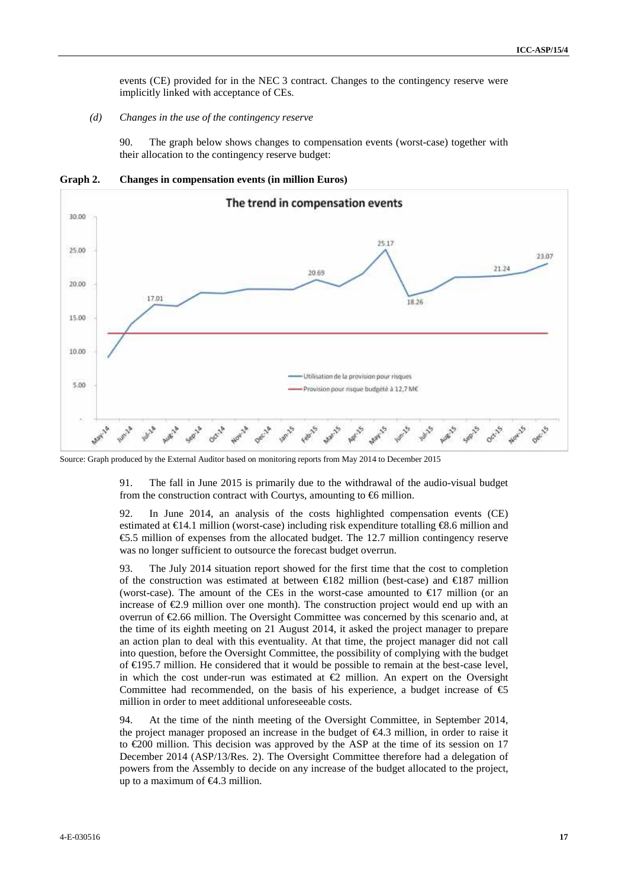events (CE) provided for in the NEC 3 contract. Changes to the contingency reserve were implicitly linked with acceptance of CEs.

*(d) Changes in the use of the contingency reserve*

90. The graph below shows changes to compensation events (worst-case) together with their allocation to the contingency reserve budget:

**Graph 2. Changes in compensation events (in million Euros)**



Source: Graph produced by the External Auditor based on monitoring reports from May 2014 to December 2015

91. The fall in June 2015 is primarily due to the withdrawal of the audio-visual budget from the construction contract with Courtys, amounting to  $\Theta$  million.

92. In June 2014, an analysis of the costs highlighted compensation events (CE) estimated at  $\in \mathbb{I}4.1$  million (worst-case) including risk expenditure totalling  $\in \mathbb{S}6$  million and €5.5 million of expenses from the allocated budget. The 12.7 million contingency reserve was no longer sufficient to outsource the forecast budget overrun.

93. The July 2014 situation report showed for the first time that the cost to completion of the construction was estimated at between  $\in$ 182 million (best-case) and  $\in$ 187 million (worst-case). The amount of the CEs in the worst-case amounted to  $\epsilon$ 17 million (or an increase of €2.9 million over one month). The construction project would end up with an overrun of €2.66 million. The Oversight Committee was concerned by this scenario and, at the time of its eighth meeting on 21 August 2014, it asked the project manager to prepare an action plan to deal with this eventuality. At that time, the project manager did not call into question, before the Oversight Committee, the possibility of complying with the budget of €195.7 million. He considered that it would be possible to remain at the best-case level, in which the cost under-run was estimated at  $\bigoplus$  million. An expert on the Oversight Committee had recommended, on the basis of his experience, a budget increase of  $\epsilon$ million in order to meet additional unforeseeable costs.

94. At the time of the ninth meeting of the Oversight Committee, in September 2014, the project manager proposed an increase in the budget of  $\epsilon 4.3$  million, in order to raise it to  $\epsilon$ 200 million. This decision was approved by the ASP at the time of its session on 17 December 2014 (ASP/13/Res. 2). The Oversight Committee therefore had a delegation of powers from the Assembly to decide on any increase of the budget allocated to the project, up to a maximum of €4.3 million.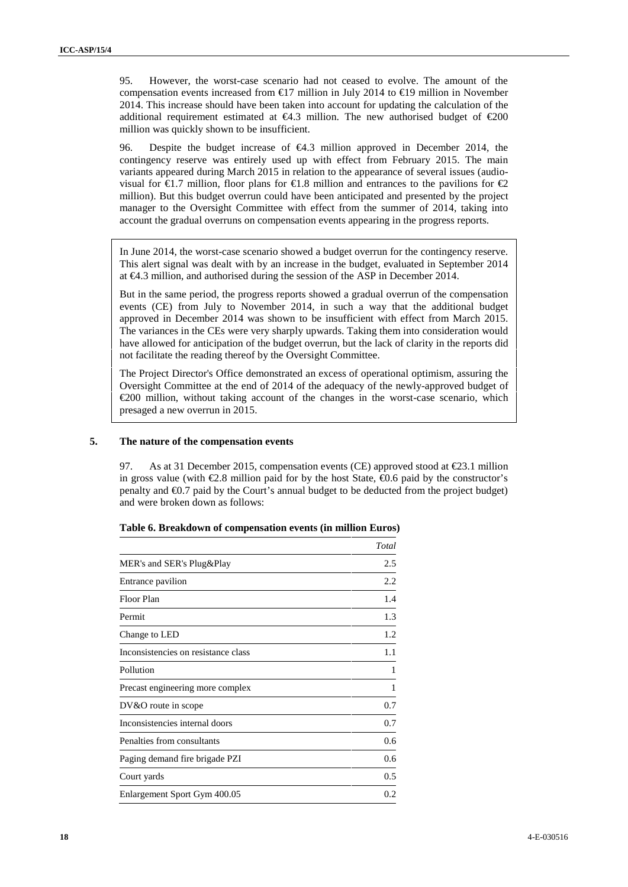95. However, the worst-case scenario had not ceased to evolve. The amount of the compensation events increased from  $\text{\textsterling}17$  million in July 2014 to  $\text{\textsterling}19$  million in November 2014. This increase should have been taken into account for updating the calculation of the additional requirement estimated at  $\epsilon 4.3$  million. The new authorised budget of  $\epsilon 200$ million was quickly shown to be insufficient.

96. Despite the budget increase of €4.3 million approved in December 2014, the contingency reserve was entirely used up with effect from February 2015. The main variants appeared during March 2015 in relation to the appearance of several issues (audio visual for  $\bigoplus$ .7 million, floor plans for  $\bigoplus$ .8 million and entrances to the pavilions for  $\bigoplus$ . million). But this budget overrun could have been anticipated and presented by the project manager to the Oversight Committee with effect from the summer of 2014, taking into account the gradual overruns on compensation events appearing in the progress reports.

In June 2014, the worst-case scenario showed a budget overrun for the contingency reserve. This alert signal was dealt with by an increase in the budget, evaluated in September 2014 at €4.3 million, and authorised during the session of the ASP in December 2014.

But in the same period, the progress reports showed a gradual overrun of the compensation events (CE) from July to November 2014, in such a way that the additional budget approved in December 2014 was shown to be insufficient with effect from March 2015. The variances in the CEs were very sharply upwards. Taking them into consideration would have allowed for anticipation of the budget overrun, but the lack of clarity in the reports did not facilitate the reading thereof by the Oversight Committee.

The Project Director's Office demonstrated an excess of operational optimism, assuring the Oversight Committee at the end of 2014 of the adequacy of the newly-approved budget of €200 million, without taking account of the changes in the worst-case scenario, which presaged a new overrun in 2015.

#### **5. The nature of the compensation events**

As at 31 December 2015, compensation events (CE) approved stood at  $\epsilon$ 23.1 million in gross value (with  $\epsilon 2.8$  million paid for by the host State,  $\epsilon 0.6$  paid by the constructor's penalty and €0.7 paid by the Court's annual budget to be deducted from the project budget) and were broken down as follows:

|                                     | Total |
|-------------------------------------|-------|
| MER's and SER's Plug&Play           | 2.5   |
| Entrance pavilion                   | 2.2   |
| Floor Plan                          | 1.4   |
| Permit                              | 1.3   |
| Change to LED                       | 1.2   |
| Inconsistencies on resistance class | 1.1   |
| Pollution                           |       |
| Precast engineering more complex    |       |
| $DV&O$ route in scope               | 0.7   |
| Inconsistencies internal doors      | 0.7   |
| Penalties from consultants          | 0.6   |
| Paging demand fire brigade PZI      | 0.6   |
| Court yards                         | 0.5   |
| Enlargement Sport Gym 400.05        | 0.2   |

**Table 6. Breakdown of compensation events (in million Euros)**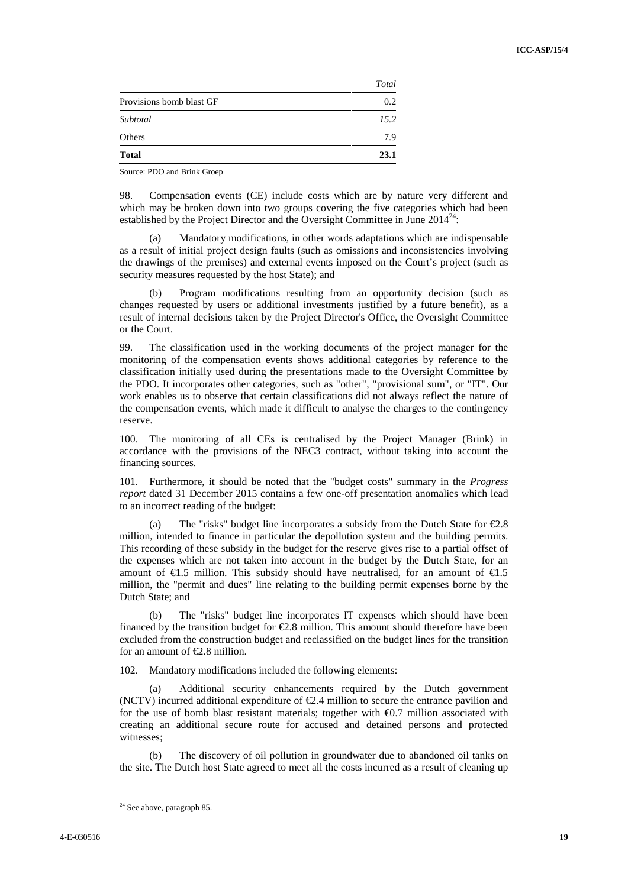| Others                   | 7.9   |
|--------------------------|-------|
|                          |       |
| Subtotal                 | 15.2  |
| Provisions bomb blast GF | 0.2   |
|                          | Total |

Source: PDO and Brink Groep

98. Compensation events (CE) include costs which are by nature very different and which may be broken down into two groups covering the five categories which had been established by the Project Director and the Oversight Committee in June  $2014^{24}$ :

(a) Mandatory modifications, in other words adaptations which are indispensable as a result of initial project design faults (such as omissions and inconsistencies involving the drawings of the premises) and external events imposed on the Court's project (such as security measures requested by the host State); and

Program modifications resulting from an opportunity decision (such as changes requested by users or additional investments justified by a future benefit), as a result of internal decisions taken by the Project Director's Office, the Oversight Committee or the Court.

99. The classification used in the working documents of the project manager for the monitoring of the compensation events shows additional categories by reference to the classification initially used during the presentations made to the Oversight Committee by the PDO. It incorporates other categories, such as "other", "provisional sum", or "IT". Our work enables us to observe that certain classifications did not always reflect the nature of the compensation events, which made it difficult to analyse the charges to the contingency reserve.

100. The monitoring of all CEs is centralised by the Project Manager (Brink) in accordance with the provisions of the NEC3 contract, without taking into account the financing sources.

101. Furthermore, it should be noted that the "budget costs" summary in the *Progress report* dated 31 December 2015 contains a few one-off presentation anomalies which lead to an incorrect reading of the budget:

(a) The "risks" budget line incorporates a subsidy from the Dutch State for  $\epsilon 2.8$ million, intended to finance in particular the depollution system and the building permits. This recording of these subsidy in the budget for the reserve gives rise to a partial offset of the expenses which are not taken into account in the budget by the Dutch State, for an amount of  $\in$ 1.5 million. This subsidy should have neutralised, for an amount of  $\in$ 1.5 million, the "permit and dues" line relating to the building permit expenses borne by the Dutch State; and

(b) The "risks" budget line incorporates IT expenses which should have been financed by the transition budget for  $E.8$  million. This amount should therefore have been excluded from the construction budget and reclassified on the budget lines for the transition for an amount of  $E$ .8 million.

102. Mandatory modifications included the following elements:

(a) Additional security enhancements required by the Dutch government (NCTV) incurred additional expenditure of  $\epsilon$ 2.4 million to secure the entrance pavilion and for the use of bomb blast resistant materials; together with  $\epsilon$ 0.7 million associated with creating an additional secure route for accused and detained persons and protected witnesses;

The discovery of oil pollution in groundwater due to abandoned oil tanks on the site. The Dutch host State agreed to meet all the costs incurred as a result of cleaning up

<sup>&</sup>lt;sup>24</sup> See above, paragraph 85.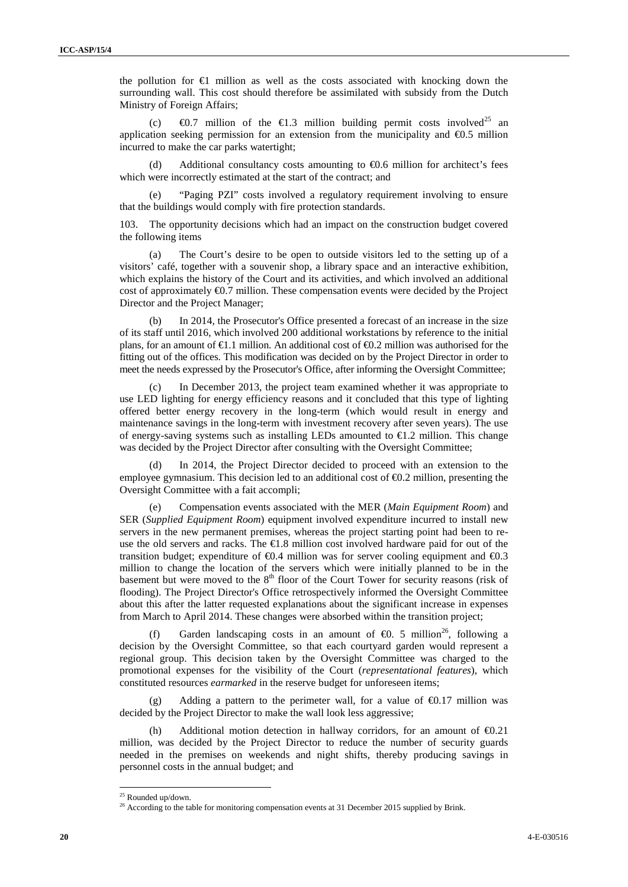the pollution for €1 million as well as the costs associated with knocking down the surrounding wall. This cost should therefore be assimilated with subsidy from the Dutch Ministry of Foreign Affairs;

(c)  $\oplus$  1.7 million of the  $\oplus$  1.3 million building permit costs involved<sup>25</sup> an application seeking permission for an extension from the municipality and  $\epsilon$ 0.5 million incurred to make the car parks watertight;

Additional consultancy costs amounting to  $\epsilon$ 0.6 million for architect's fees which were incorrectly estimated at the start of the contract; and

(e) "Paging PZI" costs involved a regulatory requirement involving to ensure that the buildings would comply with fire protection standards.

103. The opportunity decisions which had an impact on the construction budget covered the following items

(a) The Court's desire to be open to outside visitors led to the setting up of a visitors' café, together with a souvenir shop, a library space and an interactive exhibition, which explains the history of the Court and its activities, and which involved an additional cost of approximately  $\Theta$ .7 million. These compensation events were decided by the Project Director and the Project Manager;

(b) In 2014, the Prosecutor's Office presented a forecast of an increase in the size of its staff until 2016, which involved 200 additional workstations by reference to the initial plans, for an amount of  $\bigoplus$ .1 million. An additional cost of  $\bigoplus$ .2 million was authorised for the fitting out of the offices. This modification was decided on by the Project Director in order to meet the needs expressed by the Prosecutor's Office, after informing the Oversight Committee;

(c) In December 2013, the project team examined whether it was appropriate to use LED lighting for energy efficiency reasons and it concluded that this type of lighting offered better energy recovery in the long-term (which would result in energy and maintenance savings in the long-term with investment recovery after seven years). The use of energy-saving systems such as installing LEDs amounted to  $\bigoplus$ .2 million. This change was decided by the Project Director after consulting with the Oversight Committee;

(d) In 2014, the Project Director decided to proceed with an extension to the employee gymnasium. This decision led to an additional cost of  $\Theta$ . 2 million, presenting the Oversight Committee with a fait accompli;

(e) Compensation events associated with the MER (*Main Equipment Room*) and SER (*Supplied Equipment Room*) equipment involved expenditure incurred to install new servers in the new permanent premises, whereas the project starting point had been to re use the old servers and racks. The  $\in$ 1.8 million cost involved hardware paid for out of the transition budget; expenditure of  $\Theta$ .4 million was for server cooling equipment and  $\Theta$ .3 million to change the location of the servers which were initially planned to be in the basement but were moved to the  $8<sup>th</sup>$  floor of the Court Tower for security reasons (risk of flooding). The Project Director's Office retrospectively informed the Oversight Committee about this after the latter requested explanations about the significant increase in expenses from March to April 2014. These changes were absorbed within the transition project;

Garden landscaping costs in an amount of  $\Theta$ . 5 million<sup>26</sup>, following a decision by the Oversight Committee, so that each courtyard garden would represent a regional group. This decision taken by the Oversight Committee was charged to the promotional expenses for the visibility of the Court (*representational features*), which constituted resources *earmarked* in the reserve budget for unforeseen items;

(g) Adding a pattern to the perimeter wall, for a value of  $\Theta$ .17 million was decided by the Project Director to make the wall look less aggressive;

Additional motion detection in hallway corridors, for an amount of  $\epsilon 0.21$ million, was decided by the Project Director to reduce the number of security guards needed in the premises on weekends and night shifts, thereby producing savings in personnel costs in the annual budget; and

<sup>25</sup> Rounded up/down.

<sup>&</sup>lt;sup>26</sup> According to the table for monitoring compensation events at 31 December 2015 supplied by Brink.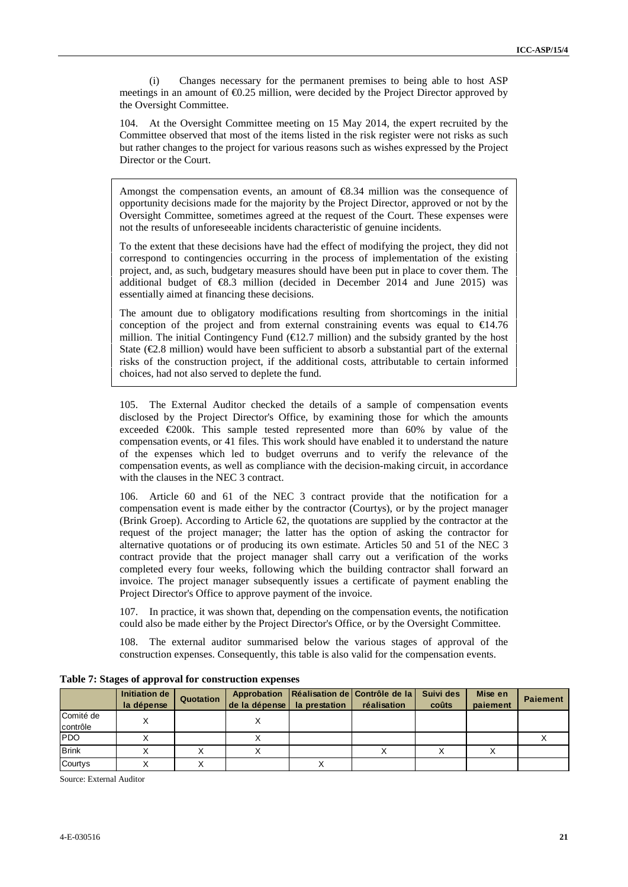(i) Changes necessary for the permanent premises to being able to host ASP meetings in an amount of  $\epsilon 0.25$  million, were decided by the Project Director approved by the Oversight Committee.

104. At the Oversight Committee meeting on 15 May 2014, the expert recruited by the Committee observed that most of the items listed in the risk register were not risks as such but rather changes to the project for various reasons such as wishes expressed by the Project Director or the Court.

Amongst the compensation events, an amount of  $\epsilon$ 8.34 million was the consequence of opportunity decisions made for the majority by the Project Director, approved or not by the Oversight Committee, sometimes agreed at the request of the Court. These expenses were not the results of unforeseeable incidents characteristic of genuine incidents.

To the extent that these decisions have had the effect of modifying the project, they did not correspond to contingencies occurring in the process of implementation of the existing project, and, as such, budgetary measures should have been put in place to cover them. The additional budget of  $\epsilon$ 8.3 million (decided in December 2014 and June 2015) was essentially aimed at financing these decisions.

The amount due to obligatory modifications resulting from shortcomings in the initial conception of the project and from external constraining events was equal to  $\text{ } \in \text{ } 44.76$ million. The initial Contingency Fund  $(\text{E}2.7 \text{ million})$  and the subsidy granted by the host State  $(\mathcal{Q}, 8 \text{ million})$  would have been sufficient to absorb a substantial part of the external risks of the construction project, if the additional costs, attributable to certain informed choices, had not also served to deplete the fund.

105. The External Auditor checked the details of a sample of compensation events disclosed by the Project Director's Office, by examining those for which the amounts exceeded  $\epsilon$ 200k. This sample tested represented more than 60% by value of the compensation events, or 41 files. This work should have enabled it to understand the nature of the expenses which led to budget overruns and to verify the relevance of the compensation events, as well as compliance with the decision-making circuit, in accordance with the clauses in the NEC 3 contract.

Article 60 and 61 of the NEC 3 contract provide that the notification for a compensation event is made either by the contractor (Courtys), or by the project manager (Brink Groep). According to Article 62, the quotations are supplied by the contractor at the request of the project manager; the latter has the option of asking the contractor for alternative quotations or of producing its own estimate. Articles 50 and 51 of the NEC 3 contract provide that the project manager shall carry out a verification of the works completed every four weeks, following which the building contractor shall forward an invoice. The project manager subsequently issues a certificate of payment enabling the Project Director's Office to approve payment of the invoice.

107. In practice, it was shown that, depending on the compensation events, the notification could also be made either by the Project Director's Office, or by the Oversight Committee.

108. The external auditor summarised below the various stages of approval of the construction expenses. Consequently, this table is also valid for the compensation events.

|                       | Initiation de<br>la dépense | Quotation | de la dépense   la prestation |   | Approbation   Réalisation de   Contrôle de la   Suivi des<br>réalisation | coûts | Mise en<br>paiement | <b>Paiement</b> |
|-----------------------|-----------------------------|-----------|-------------------------------|---|--------------------------------------------------------------------------|-------|---------------------|-----------------|
| Comité de<br>contrôle | Χ                           |           |                               |   |                                                                          |       |                     |                 |
| <b>PDO</b>            |                             |           |                               |   |                                                                          |       |                     |                 |
| <b>Brink</b>          |                             |           |                               |   |                                                                          |       |                     |                 |
| Courtys               |                             |           |                               | ∧ |                                                                          |       |                     |                 |

**Table 7: Stages of approval for construction expenses**

Source: External Auditor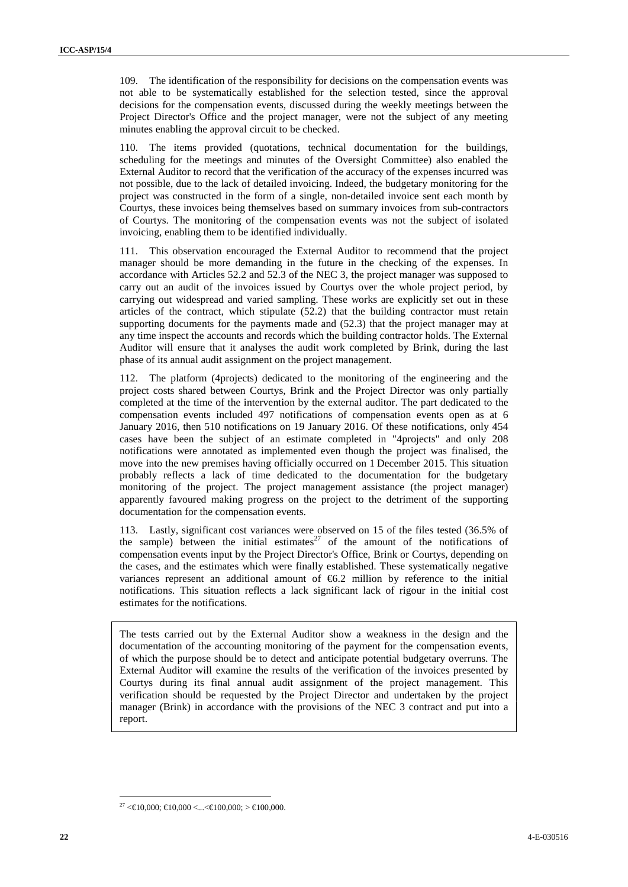109. The identification of the responsibility for decisions on the compensation events was not able to be systematically established for the selection tested, since the approval decisions for the compensation events, discussed during the weekly meetings between the Project Director's Office and the project manager, were not the subject of any meeting minutes enabling the approval circuit to be checked.

110. The items provided (quotations, technical documentation for the buildings, scheduling for the meetings and minutes of the Oversight Committee) also enabled the External Auditor to record that the verification of the accuracy of the expenses incurred was not possible, due to the lack of detailed invoicing. Indeed, the budgetary monitoring for the project was constructed in the form of a single, non-detailed invoice sent each month by Courtys, these invoices being themselves based on summary invoices from sub-contractors of Courtys. The monitoring of the compensation events was not the subject of isolated invoicing, enabling them to be identified individually.

111. This observation encouraged the External Auditor to recommend that the project manager should be more demanding in the future in the checking of the expenses. In accordance with Articles 52.2 and 52.3 of the NEC 3, the project manager was supposed to carry out an audit of the invoices issued by Courtys over the whole project period, by carrying out widespread and varied sampling. These works are explicitly set out in these articles of the contract, which stipulate (52.2) that the building contractor must retain supporting documents for the payments made and (52.3) that the project manager may at any time inspect the accounts and records which the building contractor holds. The External Auditor will ensure that it analyses the audit work completed by Brink, during the last phase of its annual audit assignment on the project management.

112. The platform (4projects) dedicated to the monitoring of the engineering and the project costs shared between Courtys, Brink and the Project Director was only partially completed at the time of the intervention by the external auditor. The part dedicated to the compensation events included 497 notifications of compensation events open as at 6 January 2016, then 510 notifications on 19 January 2016. Of these notifications, only 454 cases have been the subject of an estimate completed in "4projects" and only 208 notifications were annotated as implemented even though the project was finalised, the move into the new premises having officially occurred on 1 December 2015. This situation probably reflects a lack of time dedicated to the documentation for the budgetary monitoring of the project. The project management assistance (the project manager) apparently favoured making progress on the project to the detriment of the supporting documentation for the compensation events.

113. Lastly, significant cost variances were observed on 15 of the files tested (36.5% of the sample) between the initial estimates<sup>27</sup> of the amount of the notifications of compensation events input by the Project Director's Office, Brink or Courtys, depending on the cases, and the estimates which were finally established. These systematically negative variances represent an additional amount of €6.2 million by reference to the initial notifications. This situation reflects a lack significant lack of rigour in the initial cost estimates for the notifications.

The tests carried out by the External Auditor show a weakness in the design and the documentation of the accounting monitoring of the payment for the compensation events, of which the purpose should be to detect and anticipate potential budgetary overruns. The External Auditor will examine the results of the verification of the invoices presented by Courtys during its final annual audit assignment of the project management. This verification should be requested by the Project Director and undertaken by the project manager (Brink) in accordance with the provisions of the NEC 3 contract and put into a report.

 $27 <$  ∈10,000; ∈10,000 <... < ∈100,000; > ∈100,000.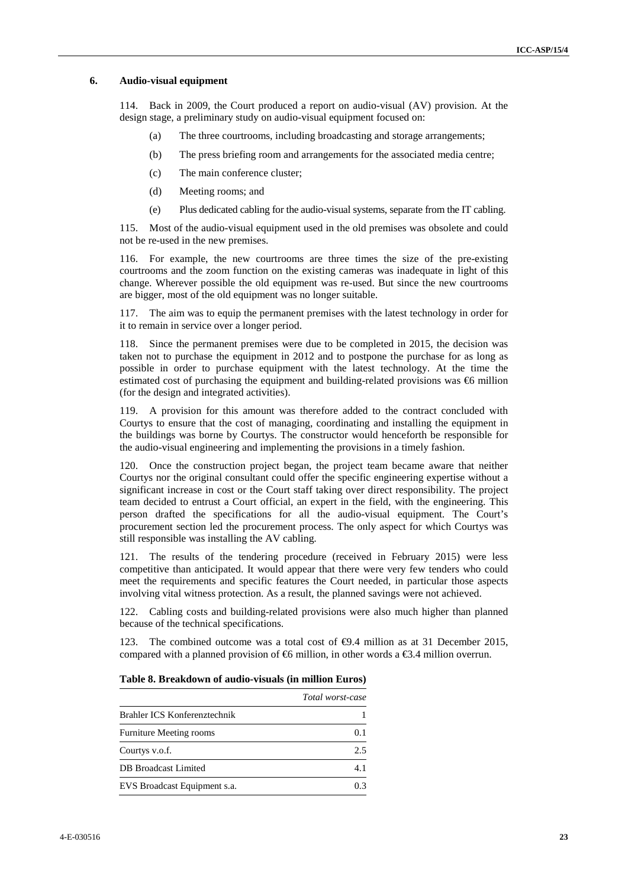#### **6. Audio-visual equipment**

114. Back in 2009, the Court produced a report on audio-visual (AV) provision. At the design stage, a preliminary study on audio-visual equipment focused on:

- (a) The three courtrooms, including broadcasting and storage arrangements;
- (b) The press briefing room and arrangements for the associated media centre;
- (c) The main conference cluster;
- (d) Meeting rooms; and
- (e) Plus dedicated cabling for the audio-visual systems, separate from the IT cabling.

115. Most of the audio-visual equipment used in the old premises was obsolete and could not be re-used in the new premises.

116. For example, the new courtrooms are three times the size of the pre-existing courtrooms and the zoom function on the existing cameras was inadequate in light of this change. Wherever possible the old equipment was re-used. But since the new courtrooms are bigger, most of the old equipment was no longer suitable.

117. The aim was to equip the permanent premises with the latest technology in order for it to remain in service over a longer period.

118. Since the permanent premises were due to be completed in 2015, the decision was taken not to purchase the equipment in 2012 and to postpone the purchase for as long as possible in order to purchase equipment with the latest technology. At the time the estimated cost of purchasing the equipment and building-related provisions was  $\epsilon$ 6 million (for the design and integrated activities).

119. A provision for this amount was therefore added to the contract concluded with Courtys to ensure that the cost of managing, coordinating and installing the equipment in the buildings was borne by Courtys. The constructor would henceforth be responsible for the audio-visual engineering and implementing the provisions in a timely fashion.

120. Once the construction project began, the project team became aware that neither Courtys nor the original consultant could offer the specific engineering expertise without a significant increase in cost or the Court staff taking over direct responsibility. The project team decided to entrust a Court official, an expert in the field, with the engineering. This person drafted the specifications for all the audio-visual equipment. The Court's procurement section led the procurement process. The only aspect for which Courtys was still responsible was installing the AV cabling.

121. The results of the tendering procedure (received in February 2015) were less competitive than anticipated. It would appear that there were very few tenders who could meet the requirements and specific features the Court needed, in particular those aspects involving vital witness protection. As a result, the planned savings were not achieved.

122. Cabling costs and building-related provisions were also much higher than planned because of the technical specifications.

123. The combined outcome was a total cost of  $\Theta$ .4 million as at 31 December 2015, compared with a planned provision of  $\oplus$  million, in other words a  $\oplus$ .4 million overrun.

|                                | Total worst-case |
|--------------------------------|------------------|
| Brahler ICS Konferenztechnik   |                  |
| <b>Furniture Meeting rooms</b> | 0.1              |
| Courtys v.o.f.                 | 2.5              |
| DB Broadcast Limited           | 4.1              |
| EVS Broadcast Equipment s.a.   | 03               |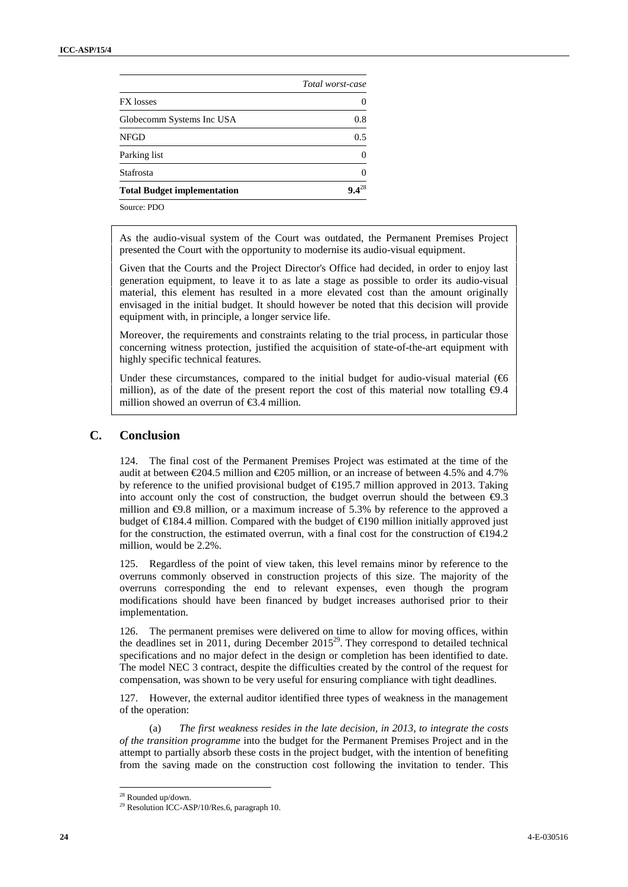|                                    | Total worst-case |  |
|------------------------------------|------------------|--|
| <b>FX</b> losses                   |                  |  |
| Globecomm Systems Inc USA          | 0.8              |  |
| <b>NFGD</b>                        | 0.5              |  |
| Parking list                       | $\left($         |  |
| Stafrosta                          | $\left($         |  |
| <b>Total Budget implementation</b> | $9.4^{28}$       |  |
|                                    |                  |  |

Source: PDO

As the audio-visual system of the Court was outdated, the Permanent Premises Project presented the Court with the opportunity to modernise its audio-visual equipment.

Given that the Courts and the Project Director's Office had decided, in order to enjoy last generation equipment, to leave it to as late a stage as possible to order its audio-visual material, this element has resulted in a more elevated cost than the amount originally envisaged in the initial budget. It should however be noted that this decision will provide equipment with, in principle, a longer service life.

Moreover, the requirements and constraints relating to the trial process, in particular those concerning witness protection, justified the acquisition of state-of-the-art equipment with highly specific technical features.

Under these circumstances, compared to the initial budget for audio-visual material  $(\mathfrak{G})$ million), as of the date of the present report the cost of this material now totalling  $\Theta$ .4 million showed an overrun of  $\epsilon$ 3.4 million.

### **C. Conclusion**

124. The final cost of the Permanent Premises Project was estimated at the time of the audit at between  $\epsilon$ 204.5 million and  $\epsilon$ 205 million, or an increase of between 4.5% and 4.7% by reference to the unified provisional budget of  $\in$ 195.7 million approved in 2013. Taking into account only the cost of construction, the budget overrun should the between  $\Theta$ .3 million and  $\Theta$ .8 million, or a maximum increase of 5.3% by reference to the approved a budget of €184.4 million. Compared with the budget of €190 million initially approved just for the construction, the estimated overrun, with a final cost for the construction of €194.2 million, would be 2.2%.

125. Regardless of the point of view taken, this level remains minor by reference to the overruns commonly observed in construction projects of this size. The majority of the overruns corresponding the end to relevant expenses, even though the program modifications should have been financed by budget increases authorised prior to their implementation.

126. The permanent premises were delivered on time to allow for moving offices, within the deadlines set in 2011, during December 2015<sup>29</sup>. They correspond to detailed technical specifications and no major defect in the design or completion has been identified to date. The model NEC 3 contract, despite the difficulties created by the control of the request for compensation, was shown to be very useful for ensuring compliance with tight deadlines.

127. However, the external auditor identified three types of weakness in the management of the operation:

(a) *The first weakness resides in the late decision, in 2013, to integrate the costs of the transition programme* into the budget for the Permanent Premises Project and in the attempt to partially absorb these costs in the project budget, with the intention of benefiting from the saving made on the construction cost following the invitation to tender. This

<sup>28</sup> Rounded up/down.

<sup>&</sup>lt;sup>29</sup> Resolution ICC-ASP/10/Res.6, paragraph 10.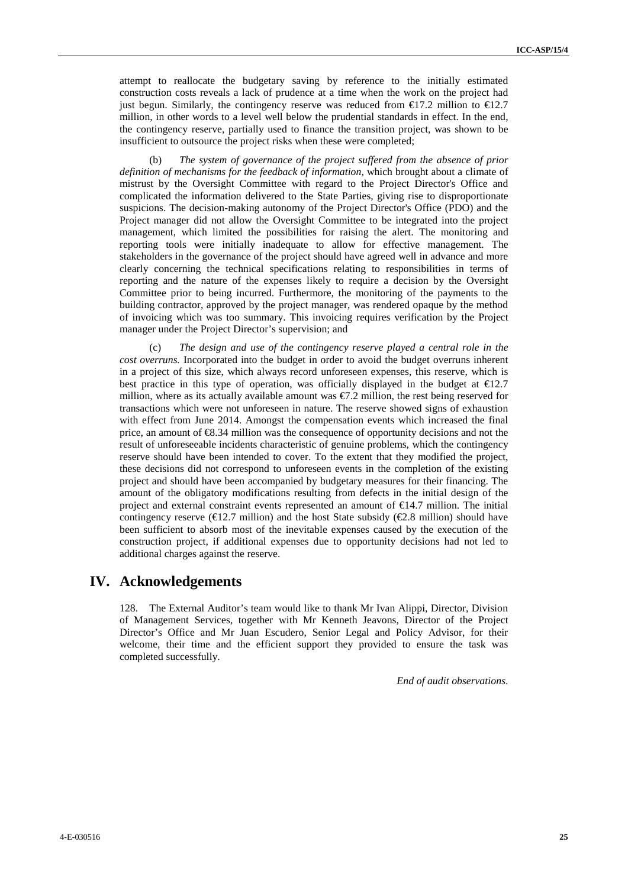attempt to reallocate the budgetary saving by reference to the initially estimated construction costs reveals a lack of prudence at a time when the work on the project had just begun. Similarly, the contingency reserve was reduced from  $\epsilon$ 17.2 million to  $\epsilon$ 12.7 million, in other words to a level well below the prudential standards in effect. In the end, the contingency reserve, partially used to finance the transition project, was shown to be insufficient to outsource the project risks when these were completed;

(b) *The system of governance of the project suffered from the absence of prior definition of mechanisms for the feedback of information,* which brought about a climate of mistrust by the Oversight Committee with regard to the Project Director's Office and complicated the information delivered to the State Parties, giving rise to disproportionate suspicions. The decision-making autonomy of the Project Director's Office (PDO) and the Project manager did not allow the Oversight Committee to be integrated into the project management, which limited the possibilities for raising the alert. The monitoring and reporting tools were initially inadequate to allow for effective management. The stakeholders in the governance of the project should have agreed well in advance and more clearly concerning the technical specifications relating to responsibilities in terms of reporting and the nature of the expenses likely to require a decision by the Oversight Committee prior to being incurred. Furthermore, the monitoring of the payments to the building contractor, approved by the project manager, was rendered opaque by the method of invoicing which was too summary. This invoicing requires verification by the Project manager under the Project Director's supervision; and

The design and use of the contingency reserve played a central role in the *cost overruns.* Incorporated into the budget in order to avoid the budget overruns inherent in a project of this size, which always record unforeseen expenses, this reserve, which is best practice in this type of operation, was officially displayed in the budget at  $\epsilon 12.7$ million, where as its actually available amount was  $\epsilon$ 7.2 million, the rest being reserved for transactions which were not unforeseen in nature. The reserve showed signs of exhaustion with effect from June 2014. Amongst the compensation events which increased the final price, an amount of €8.34 million was the consequence of opportunity decisions and not the result of unforeseeable incidents characteristic of genuine problems, which the contingency reserve should have been intended to cover. To the extent that they modified the project, these decisions did not correspond to unforeseen events in the completion of the existing project and should have been accompanied by budgetary measures for their financing. The amount of the obligatory modifications resulting from defects in the initial design of the project and external constraint events represented an amount of  $\epsilon 44.7$  million. The initial contingency reserve ( $\in 2.7$  million) and the host State subsidy ( $\in \infty.8$  million) should have been sufficient to absorb most of the inevitable expenses caused by the execution of the construction project, if additional expenses due to opportunity decisions had not led to additional charges against the reserve.

## **IV. Acknowledgements**

128. The External Auditor's team would like to thank Mr Ivan Alippi, Director, Division of Management Services, together with Mr Kenneth Jeavons, Director of the Project Director's Office and Mr Juan Escudero, Senior Legal and Policy Advisor, for their welcome, their time and the efficient support they provided to ensure the task was completed successfully.

*End of audit observations*.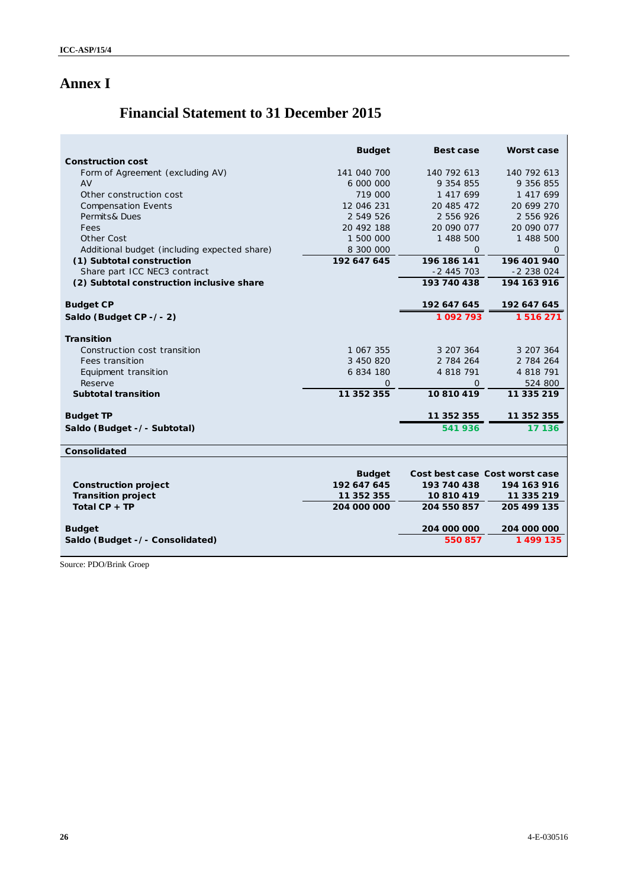# **Annex I**

 $\mathbf{r}$ 

# **Financial Statement to 31 December 2015**

|                                              | <b>Budget</b> | Best case                      | Worst case   |
|----------------------------------------------|---------------|--------------------------------|--------------|
| Construction cost                            |               |                                |              |
| Form of Agreement (excluding AV)             | 141 040 700   | 140 792 613                    | 140 792 613  |
| AV                                           | 6 000 000     | 9 354 855                      | 9 356 855    |
| Other construction cost                      | 719 000       | 1 417 699                      | 1 417 699    |
| <b>Compensation Events</b>                   | 12 046 231    | 20 485 472                     | 20 699 270   |
| Permits& Dues                                | 2 549 526     | 2 556 926                      | 2 556 926    |
| Fees                                         | 20 492 188    | 20 090 077                     | 20 090 077   |
| Other Cost                                   | 1 500 000     | 1 488 500                      | 1 488 500    |
| Additional budget (including expected share) | 8 300 000     | $\Omega$                       | O            |
| (1) Subtotal construction                    | 192 647 645   | 196 186 141                    | 196 401 940  |
| Share part ICC NEC3 contract                 |               | $-2445703$                     | $-2$ 238 024 |
| (2) Subtotal construction inclusive share    |               | 193 740 438                    | 194 163 916  |
|                                              |               |                                |              |
| <b>Budget CP</b>                             |               | 192 647 645                    | 192 647 645  |
| Saldo (Budget CP - / - 2)                    |               | 1092793                        | 1516271      |
| Transition                                   |               |                                |              |
| Construction cost transition                 | 1 067 355     | 3 207 364                      | 3 207 364    |
| Fees transition                              | 3 450 820     | 2 784 264                      | 2 784 264    |
| Equipment transition                         | 6 834 180     | 4 818 791                      | 4 818 791    |
| Reserve                                      | 0             | $\Omega$                       | 524 800      |
| Subtotal transition                          | 11 352 355    | 10810419                       | 11 335 219   |
| <b>Budget TP</b>                             |               | 11 352 355                     | 11 352 355   |
|                                              |               |                                |              |
| Saldo (Budget -/- Subtotal)                  |               | 541936                         | 17 136       |
| Consolidated                                 |               |                                |              |
|                                              |               |                                |              |
|                                              | <b>Budget</b> | Cost best case Cost worst case |              |
| Construction project                         | 192 647 645   | 193 740 438                    | 194 163 916  |
| Transition project                           | 11 352 355    | 10 810 419                     | 11 335 219   |
| Total $CP + TP$                              | 204 000 000   | 204 550 857                    | 205 499 135  |
|                                              |               |                                |              |
| <b>Budget</b>                                |               | 204 000 000                    | 204 000 000  |
| Saldo (Budget -/- Consolidated)              |               | 550 857                        | 1 499 135    |
|                                              |               |                                |              |

Source: PDO/Brink Groep